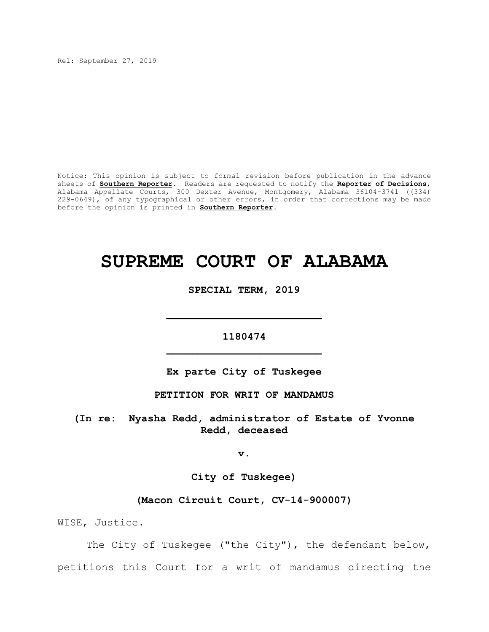Rel: September 27, 2019

Notice: This opinion is subject to formal revision before publication in the advance sheets of **Southern Reporter**. Readers are requested to notify the **Reporter of Decisions**, Alabama Appellate Courts, 300 Dexter Avenue, Montgomery, Alabama 36104-3741 ((334) 229-0649), of any typographical or other errors, in order that corrections may be made before the opinion is printed in **Southern Reporter**.

# **SUPREME COURT OF ALABAMA**

# **SPECIAL TERM, 2019**

**\_\_\_\_\_\_\_\_\_\_\_\_\_\_\_\_\_\_\_\_\_\_\_\_\_**

# **1180474 \_\_\_\_\_\_\_\_\_\_\_\_\_\_\_\_\_\_\_\_\_\_\_\_\_**

# **Ex parte City of Tuskegee**

## **PETITION FOR WRIT OF MANDAMUS**

**(In re: Nyasha Redd, administrator of Estate of Yvonne Redd, deceased**

**v.**

**City of Tuskegee)**

# **(Macon Circuit Court, CV-14-900007)**

WISE, Justice.

The City of Tuskegee ("the City"), the defendant below, petitions this Court for a writ of mandamus directing the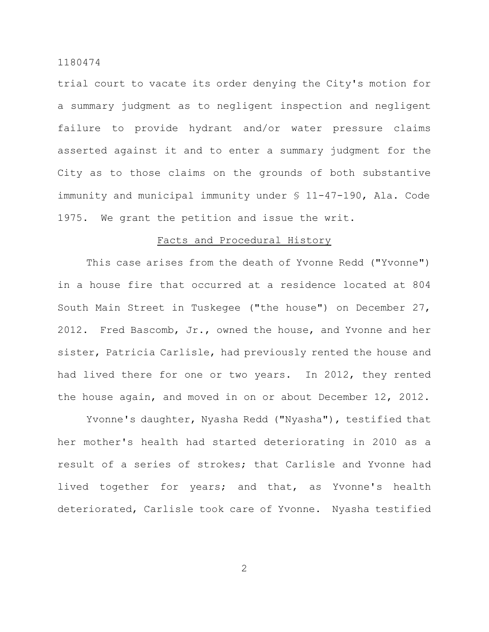trial court to vacate its order denying the City's motion for a summary judgment as to negligent inspection and negligent failure to provide hydrant and/or water pressure claims asserted against it and to enter a summary judgment for the City as to those claims on the grounds of both substantive immunity and municipal immunity under § 11-47-190, Ala. Code 1975. We grant the petition and issue the writ.

#### Facts and Procedural History

This case arises from the death of Yvonne Redd ("Yvonne") in a house fire that occurred at a residence located at 804 South Main Street in Tuskegee ("the house") on December 27, 2012. Fred Bascomb, Jr., owned the house, and Yvonne and her sister, Patricia Carlisle, had previously rented the house and had lived there for one or two years. In 2012, they rented the house again, and moved in on or about December 12, 2012.

Yvonne's daughter, Nyasha Redd ("Nyasha"), testified that her mother's health had started deteriorating in 2010 as a result of a series of strokes; that Carlisle and Yvonne had lived together for years; and that, as Yvonne's health deteriorated, Carlisle took care of Yvonne. Nyasha testified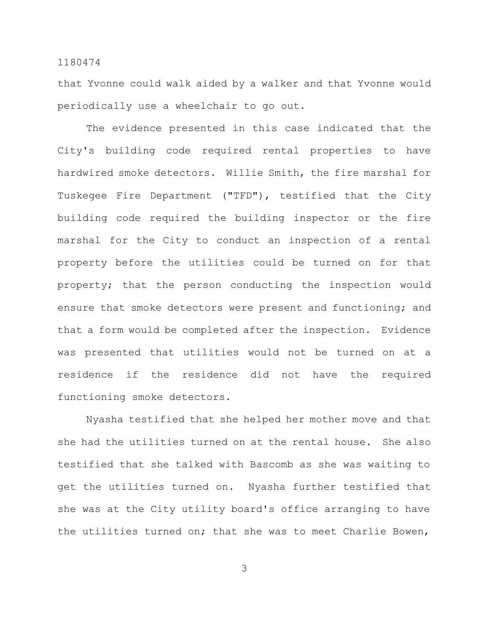that Yvonne could walk aided by a walker and that Yvonne would periodically use a wheelchair to go out.

The evidence presented in this case indicated that the City's building code required rental properties to have hardwired smoke detectors. Willie Smith, the fire marshal for Tuskegee Fire Department ("TFD"), testified that the City building code required the building inspector or the fire marshal for the City to conduct an inspection of a rental property before the utilities could be turned on for that property; that the person conducting the inspection would ensure that smoke detectors were present and functioning; and that a form would be completed after the inspection. Evidence was presented that utilities would not be turned on at a residence if the residence did not have the required functioning smoke detectors.

Nyasha testified that she helped her mother move and that she had the utilities turned on at the rental house. She also testified that she talked with Bascomb as she was waiting to get the utilities turned on. Nyasha further testified that she was at the City utility board's office arranging to have the utilities turned on; that she was to meet Charlie Bowen,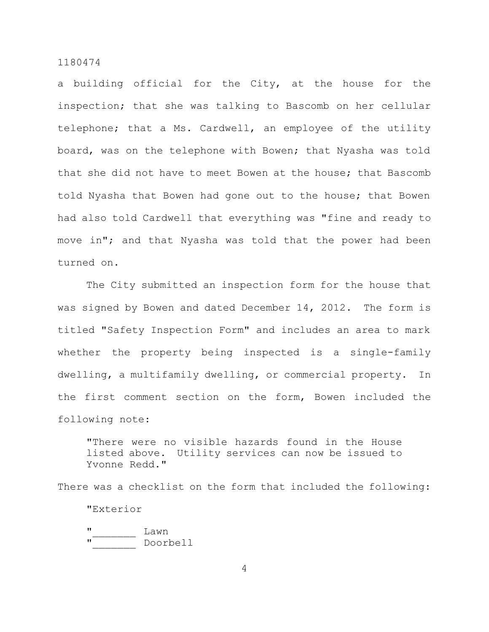a building official for the City, at the house for the inspection; that she was talking to Bascomb on her cellular telephone; that a Ms. Cardwell, an employee of the utility board, was on the telephone with Bowen; that Nyasha was told that she did not have to meet Bowen at the house; that Bascomb told Nyasha that Bowen had gone out to the house; that Bowen had also told Cardwell that everything was "fine and ready to move in"; and that Nyasha was told that the power had been turned on.

The City submitted an inspection form for the house that was signed by Bowen and dated December 14, 2012. The form is titled "Safety Inspection Form" and includes an area to mark whether the property being inspected is a single-family dwelling, a multifamily dwelling, or commercial property. In the first comment section on the form, Bowen included the following note:

"There were no visible hazards found in the House listed above. Utility services can now be issued to Yvonne Redd."

There was a checklist on the form that included the following: "Exterior " Lawn " Doorbell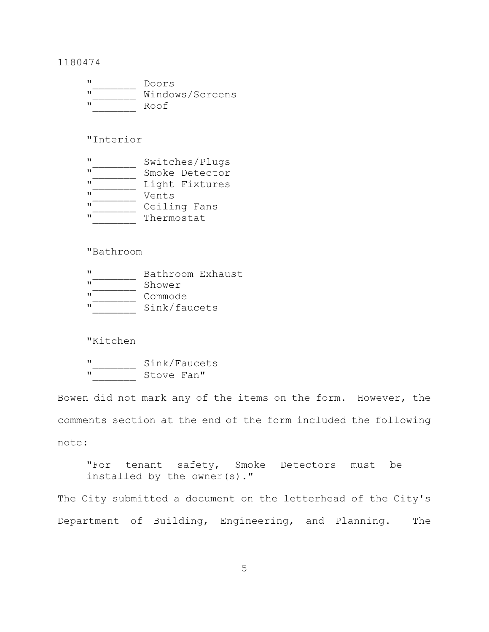| w                 | Doors           |
|-------------------|-----------------|
| $^{\prime\prime}$ | Windows/Screens |
| w                 | Roof            |

# "Interior

| $^{\prime\prime}$ | Switches/Plugs |  |  |
|-------------------|----------------|--|--|
| $^{\prime\prime}$ | Smoke Detector |  |  |
| $^{\prime\prime}$ | Light Fixtures |  |  |
| $\mathbf{u}$      | Vents          |  |  |
| $^{\prime\prime}$ | Ceiling Fans   |  |  |
| $\mathbf{u}$      | Thermostat     |  |  |

# "Bathroom

|                   | Bathroom Exhaust |  |
|-------------------|------------------|--|
| - 7 1             | Shower           |  |
| $^{\prime\prime}$ | Commode          |  |
|                   | Sink/faucets     |  |

# "Kitchen

 $\frac{m}{m}$  Sink/Faucets **"**\_\_\_\_\_\_\_ Stove Fan"

Bowen did not mark any of the items on the form. However, the comments section at the end of the form included the following note:

"For tenant safety, Smoke Detectors must be installed by the owner(s)."

The City submitted a document on the letterhead of the City's Department of Building, Engineering, and Planning. The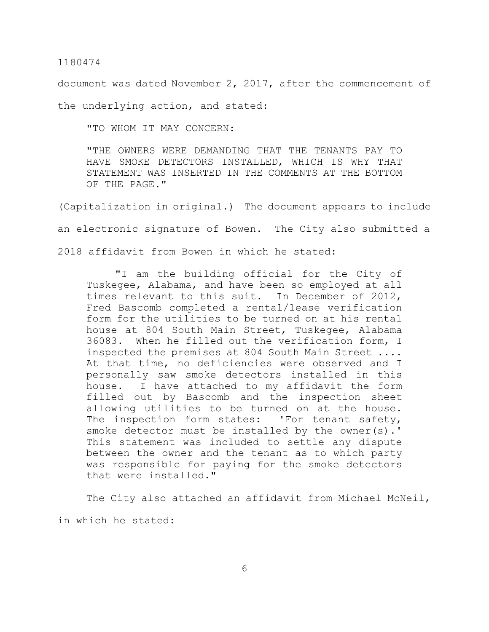document was dated November 2, 2017, after the commencement of

the underlying action, and stated:

"TO WHOM IT MAY CONCERN:

"THE OWNERS WERE DEMANDING THAT THE TENANTS PAY TO HAVE SMOKE DETECTORS INSTALLED, WHICH IS WHY THAT STATEMENT WAS INSERTED IN THE COMMENTS AT THE BOTTOM OF THE PAGE."

(Capitalization in original.) The document appears to include an electronic signature of Bowen. The City also submitted a 2018 affidavit from Bowen in which he stated:

"I am the building official for the City of Tuskegee, Alabama, and have been so employed at all times relevant to this suit. In December of 2012, Fred Bascomb completed a rental/lease verification form for the utilities to be turned on at his rental house at 804 South Main Street, Tuskegee, Alabama 36083. When he filled out the verification form, I inspected the premises at 804 South Main Street .... At that time, no deficiencies were observed and I personally saw smoke detectors installed in this house. I have attached to my affidavit the form filled out by Bascomb and the inspection sheet allowing utilities to be turned on at the house. The inspection form states: 'For tenant safety, smoke detector must be installed by the owner(s).' This statement was included to settle any dispute between the owner and the tenant as to which party was responsible for paying for the smoke detectors that were installed."

The City also attached an affidavit from Michael McNeil, in which he stated: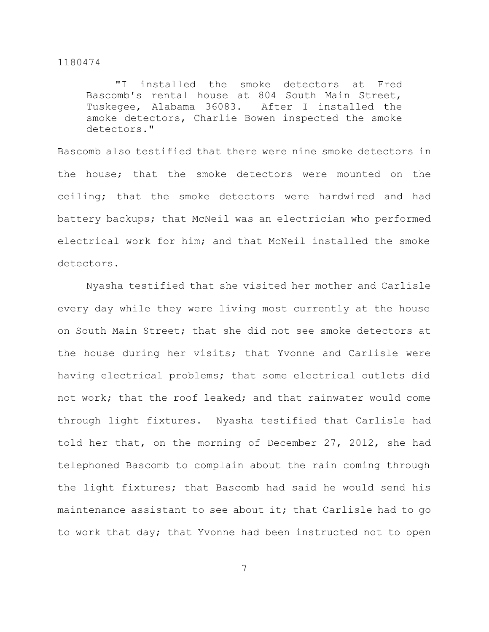"I installed the smoke detectors at Fred Bascomb's rental house at 804 South Main Street, Tuskegee, Alabama 36083. After I installed the smoke detectors, Charlie Bowen inspected the smoke detectors."

Bascomb also testified that there were nine smoke detectors in the house; that the smoke detectors were mounted on the ceiling; that the smoke detectors were hardwired and had battery backups; that McNeil was an electrician who performed electrical work for him; and that McNeil installed the smoke detectors.

Nyasha testified that she visited her mother and Carlisle every day while they were living most currently at the house on South Main Street; that she did not see smoke detectors at the house during her visits; that Yvonne and Carlisle were having electrical problems; that some electrical outlets did not work; that the roof leaked; and that rainwater would come through light fixtures. Nyasha testified that Carlisle had told her that, on the morning of December 27, 2012, she had telephoned Bascomb to complain about the rain coming through the light fixtures; that Bascomb had said he would send his maintenance assistant to see about it; that Carlisle had to go to work that day; that Yvonne had been instructed not to open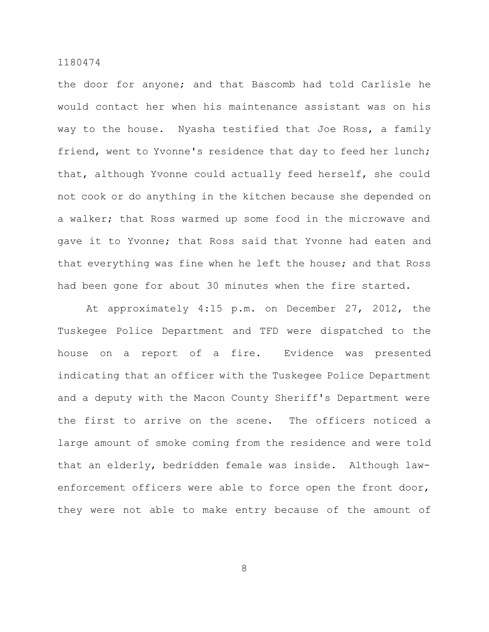the door for anyone; and that Bascomb had told Carlisle he would contact her when his maintenance assistant was on his way to the house. Nyasha testified that Joe Ross, a family friend, went to Yvonne's residence that day to feed her lunch; that, although Yvonne could actually feed herself, she could not cook or do anything in the kitchen because she depended on a walker; that Ross warmed up some food in the microwave and gave it to Yvonne; that Ross said that Yvonne had eaten and that everything was fine when he left the house; and that Ross had been gone for about 30 minutes when the fire started.

At approximately 4:15 p.m. on December 27, 2012, the Tuskegee Police Department and TFD were dispatched to the house on a report of a fire. Evidence was presented indicating that an officer with the Tuskegee Police Department and a deputy with the Macon County Sheriff's Department were the first to arrive on the scene. The officers noticed a large amount of smoke coming from the residence and were told that an elderly, bedridden female was inside. Although lawenforcement officers were able to force open the front door, they were not able to make entry because of the amount of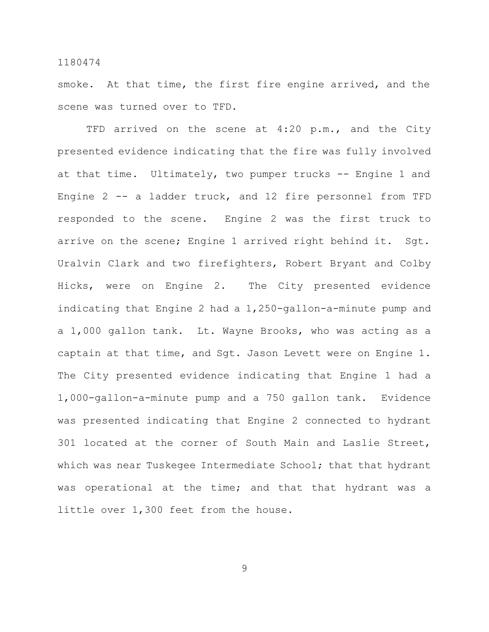smoke. At that time, the first fire engine arrived, and the scene was turned over to TFD.

TFD arrived on the scene at 4:20 p.m., and the City presented evidence indicating that the fire was fully involved at that time. Ultimately, two pumper trucks -- Engine 1 and Engine 2 -- a ladder truck, and 12 fire personnel from TFD responded to the scene. Engine 2 was the first truck to arrive on the scene; Engine 1 arrived right behind it. Sgt. Uralvin Clark and two firefighters, Robert Bryant and Colby Hicks, were on Engine 2. The City presented evidence indicating that Engine 2 had a 1,250-gallon-a-minute pump and a 1,000 gallon tank. Lt. Wayne Brooks, who was acting as a captain at that time, and Sgt. Jason Levett were on Engine 1. The City presented evidence indicating that Engine 1 had a 1,000-gallon-a-minute pump and a 750 gallon tank. Evidence was presented indicating that Engine 2 connected to hydrant 301 located at the corner of South Main and Laslie Street, which was near Tuskegee Intermediate School; that that hydrant was operational at the time; and that that hydrant was a little over 1,300 feet from the house.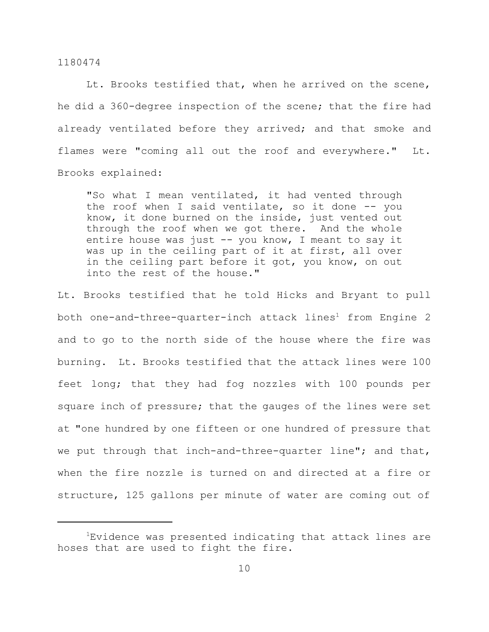Lt. Brooks testified that, when he arrived on the scene, he did a 360-degree inspection of the scene; that the fire had already ventilated before they arrived; and that smoke and flames were "coming all out the roof and everywhere." Lt. Brooks explained:

"So what I mean ventilated, it had vented through the roof when I said ventilate, so it done -- you know, it done burned on the inside, just vented out through the roof when we got there. And the whole entire house was just -- you know, I meant to say it was up in the ceiling part of it at first, all over in the ceiling part before it got, you know, on out into the rest of the house."

Lt. Brooks testified that he told Hicks and Bryant to pull both one-and-three-quarter-inch attack lines<sup>1</sup> from Engine 2 and to go to the north side of the house where the fire was burning. Lt. Brooks testified that the attack lines were 100 feet long; that they had fog nozzles with 100 pounds per square inch of pressure; that the gauges of the lines were set at "one hundred by one fifteen or one hundred of pressure that we put through that inch-and-three-quarter line"; and that, when the fire nozzle is turned on and directed at a fire or structure, 125 gallons per minute of water are coming out of

<sup>&</sup>lt;sup>1</sup>Evidence was presented indicating that attack lines are hoses that are used to fight the fire.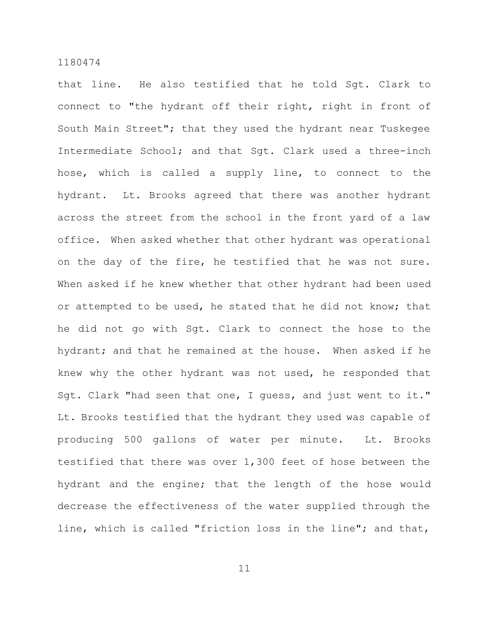that line. He also testified that he told Sgt. Clark to connect to "the hydrant off their right, right in front of South Main Street"; that they used the hydrant near Tuskegee Intermediate School; and that Sgt. Clark used a three-inch hose, which is called a supply line, to connect to the hydrant. Lt. Brooks agreed that there was another hydrant across the street from the school in the front yard of a law office. When asked whether that other hydrant was operational on the day of the fire, he testified that he was not sure. When asked if he knew whether that other hydrant had been used or attempted to be used, he stated that he did not know; that he did not go with Sgt. Clark to connect the hose to the hydrant; and that he remained at the house. When asked if he knew why the other hydrant was not used, he responded that Sgt. Clark "had seen that one, I guess, and just went to it." Lt. Brooks testified that the hydrant they used was capable of producing 500 gallons of water per minute. Lt. Brooks testified that there was over 1,300 feet of hose between the hydrant and the engine; that the length of the hose would decrease the effectiveness of the water supplied through the line, which is called "friction loss in the line"; and that,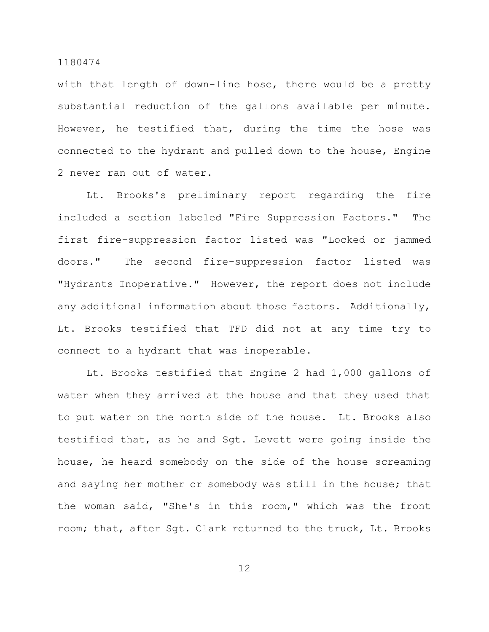with that length of down-line hose, there would be a pretty substantial reduction of the gallons available per minute. However, he testified that, during the time the hose was connected to the hydrant and pulled down to the house, Engine 2 never ran out of water.

Lt. Brooks's preliminary report regarding the fire included a section labeled "Fire Suppression Factors." The first fire-suppression factor listed was "Locked or jammed doors." The second fire-suppression factor listed was "Hydrants Inoperative." However, the report does not include any additional information about those factors. Additionally, Lt. Brooks testified that TFD did not at any time try to connect to a hydrant that was inoperable.

Lt. Brooks testified that Engine 2 had 1,000 gallons of water when they arrived at the house and that they used that to put water on the north side of the house. Lt. Brooks also testified that, as he and Sgt. Levett were going inside the house, he heard somebody on the side of the house screaming and saying her mother or somebody was still in the house; that the woman said, "She's in this room," which was the front room; that, after Sgt. Clark returned to the truck, Lt. Brooks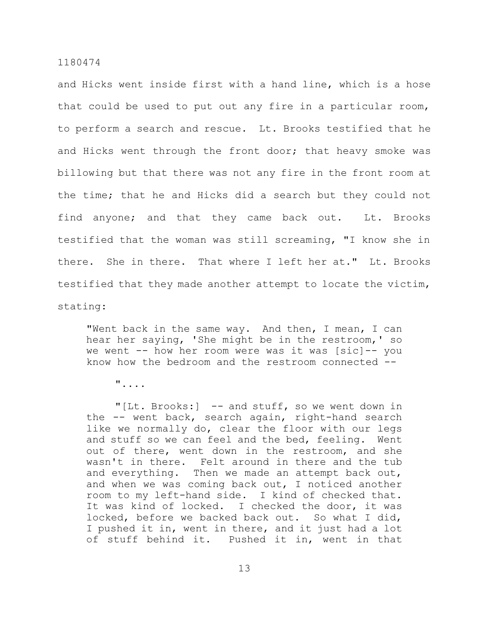and Hicks went inside first with a hand line, which is a hose that could be used to put out any fire in a particular room, to perform a search and rescue. Lt. Brooks testified that he and Hicks went through the front door; that heavy smoke was billowing but that there was not any fire in the front room at the time; that he and Hicks did a search but they could not find anyone; and that they came back out. Lt. Brooks testified that the woman was still screaming, "I know she in there. She in there. That where I left her at." Lt. Brooks testified that they made another attempt to locate the victim, stating:

"Went back in the same way. And then, I mean, I can hear her saying, 'She might be in the restroom,' so we went -- how her room were was it was [sic]-- you know how the bedroom and the restroom connected --

"....

"[Lt. Brooks:] -- and stuff, so we went down in the -- went back, search again, right-hand search like we normally do, clear the floor with our legs and stuff so we can feel and the bed, feeling. Went out of there, went down in the restroom, and she wasn't in there. Felt around in there and the tub and everything. Then we made an attempt back out, and when we was coming back out, I noticed another room to my left-hand side. I kind of checked that. It was kind of locked. I checked the door, it was locked, before we backed back out. So what I did, I pushed it in, went in there, and it just had a lot of stuff behind it. Pushed it in, went in that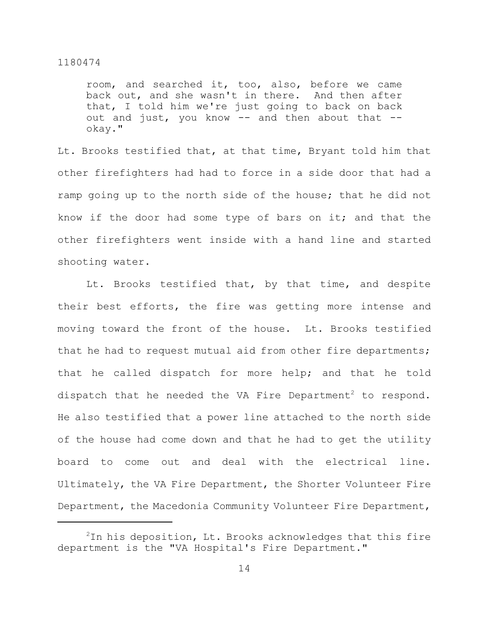room, and searched it, too, also, before we came back out, and she wasn't in there. And then after that, I told him we're just going to back on back out and just, you know -- and then about that - okay."

Lt. Brooks testified that, at that time, Bryant told him that other firefighters had had to force in a side door that had a ramp going up to the north side of the house; that he did not know if the door had some type of bars on it; and that the other firefighters went inside with a hand line and started shooting water.

Lt. Brooks testified that, by that time, and despite their best efforts, the fire was getting more intense and moving toward the front of the house. Lt. Brooks testified that he had to request mutual aid from other fire departments; that he called dispatch for more help; and that he told dispatch that he needed the VA Fire Department<sup>2</sup> to respond. He also testified that a power line attached to the north side of the house had come down and that he had to get the utility board to come out and deal with the electrical line. Ultimately, the VA Fire Department, the Shorter Volunteer Fire Department, the Macedonia Community Volunteer Fire Department,

 $2$ In his deposition, Lt. Brooks acknowledges that this fire department is the "VA Hospital's Fire Department."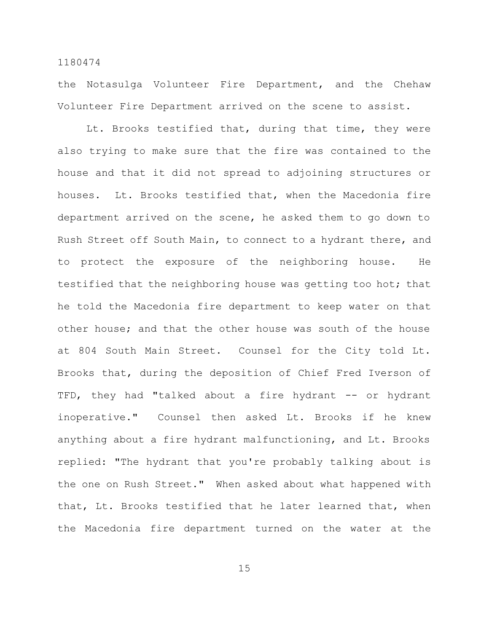the Notasulga Volunteer Fire Department, and the Chehaw Volunteer Fire Department arrived on the scene to assist.

Lt. Brooks testified that, during that time, they were also trying to make sure that the fire was contained to the house and that it did not spread to adjoining structures or houses. Lt. Brooks testified that, when the Macedonia fire department arrived on the scene, he asked them to go down to Rush Street off South Main, to connect to a hydrant there, and to protect the exposure of the neighboring house. He testified that the neighboring house was getting too hot; that he told the Macedonia fire department to keep water on that other house; and that the other house was south of the house at 804 South Main Street. Counsel for the City told Lt. Brooks that, during the deposition of Chief Fred Iverson of TFD, they had "talked about a fire hydrant -- or hydrant inoperative." Counsel then asked Lt. Brooks if he knew anything about a fire hydrant malfunctioning, and Lt. Brooks replied: "The hydrant that you're probably talking about is the one on Rush Street." When asked about what happened with that, Lt. Brooks testified that he later learned that, when the Macedonia fire department turned on the water at the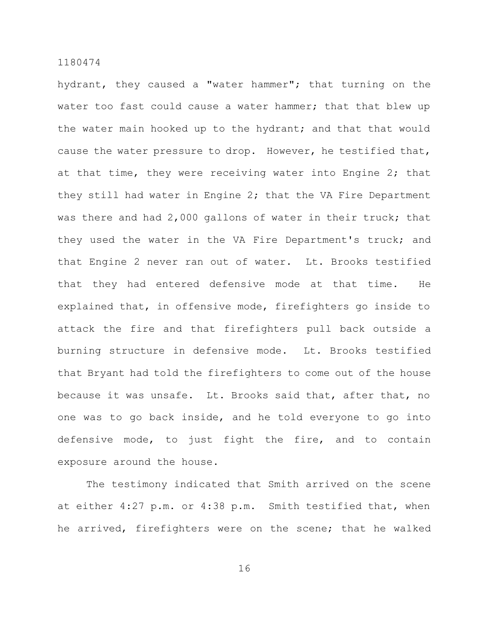hydrant, they caused a "water hammer"; that turning on the water too fast could cause a water hammer; that that blew up the water main hooked up to the hydrant; and that that would cause the water pressure to drop. However, he testified that, at that time, they were receiving water into Engine 2; that they still had water in Engine 2; that the VA Fire Department was there and had 2,000 gallons of water in their truck; that they used the water in the VA Fire Department's truck; and that Engine 2 never ran out of water. Lt. Brooks testified that they had entered defensive mode at that time. He explained that, in offensive mode, firefighters go inside to attack the fire and that firefighters pull back outside a burning structure in defensive mode. Lt. Brooks testified that Bryant had told the firefighters to come out of the house because it was unsafe. Lt. Brooks said that, after that, no one was to go back inside, and he told everyone to go into defensive mode, to just fight the fire, and to contain exposure around the house.

The testimony indicated that Smith arrived on the scene at either 4:27 p.m. or 4:38 p.m. Smith testified that, when he arrived, firefighters were on the scene; that he walked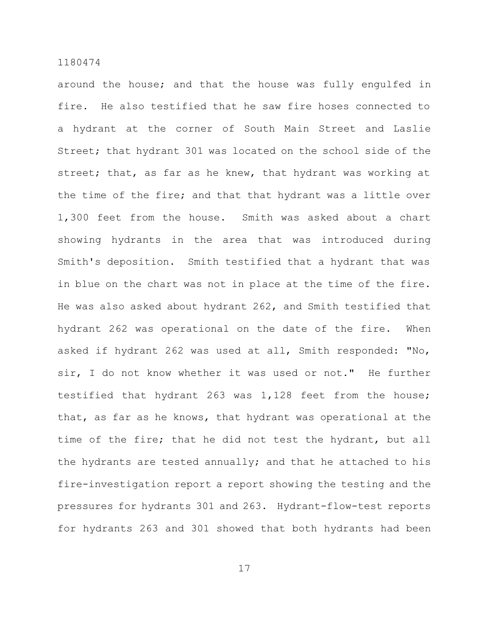around the house; and that the house was fully engulfed in fire. He also testified that he saw fire hoses connected to a hydrant at the corner of South Main Street and Laslie Street; that hydrant 301 was located on the school side of the street; that, as far as he knew, that hydrant was working at the time of the fire; and that that hydrant was a little over 1,300 feet from the house. Smith was asked about a chart showing hydrants in the area that was introduced during Smith's deposition. Smith testified that a hydrant that was in blue on the chart was not in place at the time of the fire. He was also asked about hydrant 262, and Smith testified that hydrant 262 was operational on the date of the fire. When asked if hydrant 262 was used at all, Smith responded: "No, sir, I do not know whether it was used or not." He further testified that hydrant 263 was 1,128 feet from the house; that, as far as he knows, that hydrant was operational at the time of the fire; that he did not test the hydrant, but all the hydrants are tested annually; and that he attached to his fire-investigation report a report showing the testing and the pressures for hydrants 301 and 263. Hydrant-flow-test reports for hydrants 263 and 301 showed that both hydrants had been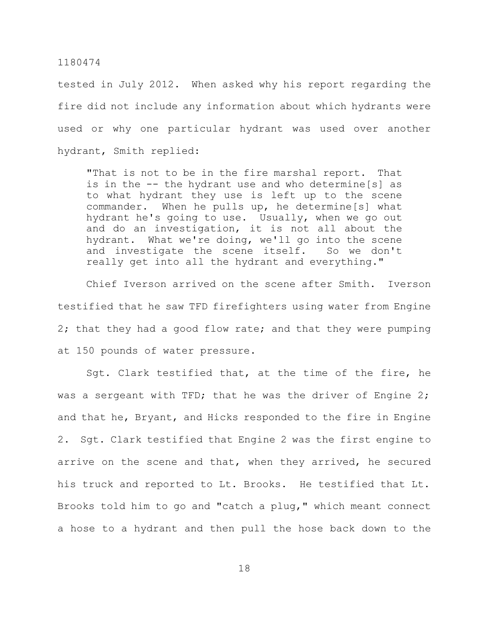tested in July 2012. When asked why his report regarding the fire did not include any information about which hydrants were used or why one particular hydrant was used over another hydrant, Smith replied:

"That is not to be in the fire marshal report. That is in the -- the hydrant use and who determine[s] as to what hydrant they use is left up to the scene commander. When he pulls up, he determine[s] what hydrant he's going to use. Usually, when we go out and do an investigation, it is not all about the hydrant. What we're doing, we'll go into the scene and investigate the scene itself. So we don't really get into all the hydrant and everything."

Chief Iverson arrived on the scene after Smith. Iverson testified that he saw TFD firefighters using water from Engine 2; that they had a good flow rate; and that they were pumping at 150 pounds of water pressure.

Sgt. Clark testified that, at the time of the fire, he was a sergeant with TFD; that he was the driver of Engine 2; and that he, Bryant, and Hicks responded to the fire in Engine 2. Sgt. Clark testified that Engine 2 was the first engine to arrive on the scene and that, when they arrived, he secured his truck and reported to Lt. Brooks. He testified that Lt. Brooks told him to go and "catch a plug," which meant connect a hose to a hydrant and then pull the hose back down to the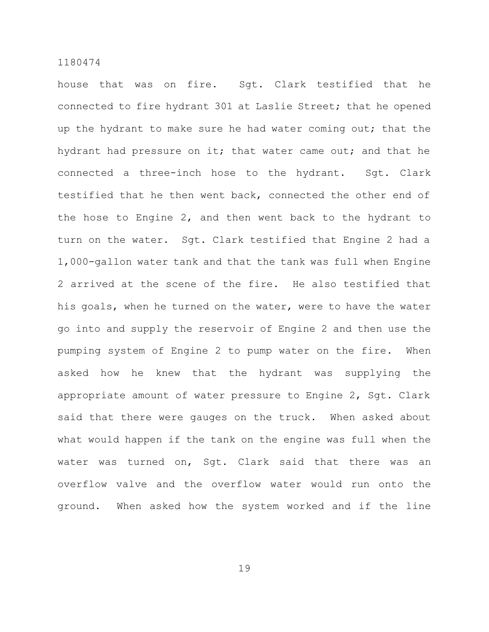house that was on fire. Sgt. Clark testified that he connected to fire hydrant 301 at Laslie Street; that he opened up the hydrant to make sure he had water coming out; that the hydrant had pressure on it; that water came out; and that he connected a three-inch hose to the hydrant. Sgt. Clark testified that he then went back, connected the other end of the hose to Engine 2, and then went back to the hydrant to turn on the water. Sgt. Clark testified that Engine 2 had a 1,000-gallon water tank and that the tank was full when Engine 2 arrived at the scene of the fire. He also testified that his goals, when he turned on the water, were to have the water go into and supply the reservoir of Engine 2 and then use the pumping system of Engine 2 to pump water on the fire. When asked how he knew that the hydrant was supplying the appropriate amount of water pressure to Engine 2, Sgt. Clark said that there were gauges on the truck. When asked about what would happen if the tank on the engine was full when the water was turned on, Sgt. Clark said that there was an overflow valve and the overflow water would run onto the ground. When asked how the system worked and if the line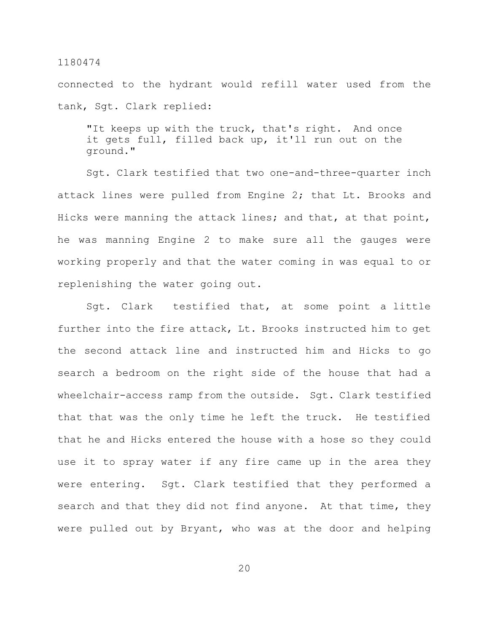connected to the hydrant would refill water used from the tank, Sgt. Clark replied:

"It keeps up with the truck, that's right. And once it gets full, filled back up, it'll run out on the ground."

Sgt. Clark testified that two one-and-three-quarter inch attack lines were pulled from Engine 2; that Lt. Brooks and Hicks were manning the attack lines; and that, at that point, he was manning Engine 2 to make sure all the gauges were working properly and that the water coming in was equal to or replenishing the water going out.

Sgt. Clark testified that, at some point a little further into the fire attack, Lt. Brooks instructed him to get the second attack line and instructed him and Hicks to go search a bedroom on the right side of the house that had a wheelchair-access ramp from the outside. Sqt. Clark testified that that was the only time he left the truck. He testified that he and Hicks entered the house with a hose so they could use it to spray water if any fire came up in the area they were entering. Sgt. Clark testified that they performed a search and that they did not find anyone. At that time, they were pulled out by Bryant, who was at the door and helping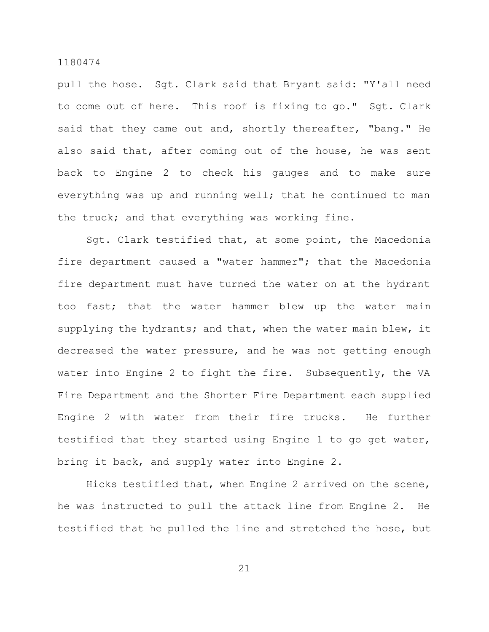pull the hose. Sgt. Clark said that Bryant said: "Y'all need to come out of here. This roof is fixing to go." Sgt. Clark said that they came out and, shortly thereafter, "bang." He also said that, after coming out of the house, he was sent back to Engine 2 to check his gauges and to make sure everything was up and running well; that he continued to man the truck; and that everything was working fine.

Sgt. Clark testified that, at some point, the Macedonia fire department caused a "water hammer"; that the Macedonia fire department must have turned the water on at the hydrant too fast; that the water hammer blew up the water main supplying the hydrants; and that, when the water main blew, it decreased the water pressure, and he was not getting enough water into Engine 2 to fight the fire. Subsequently, the VA Fire Department and the Shorter Fire Department each supplied Engine 2 with water from their fire trucks. He further testified that they started using Engine 1 to go get water, bring it back, and supply water into Engine 2.

Hicks testified that, when Engine 2 arrived on the scene, he was instructed to pull the attack line from Engine 2. He testified that he pulled the line and stretched the hose, but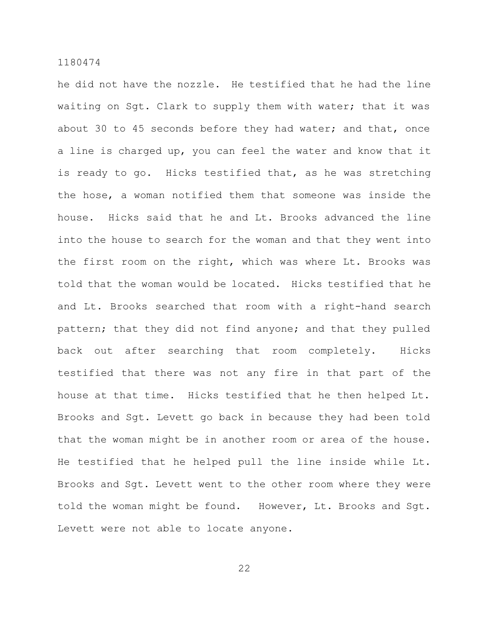he did not have the nozzle. He testified that he had the line waiting on Sgt. Clark to supply them with water; that it was about 30 to 45 seconds before they had water; and that, once a line is charged up, you can feel the water and know that it is ready to go. Hicks testified that, as he was stretching the hose, a woman notified them that someone was inside the house. Hicks said that he and Lt. Brooks advanced the line into the house to search for the woman and that they went into the first room on the right, which was where Lt. Brooks was told that the woman would be located. Hicks testified that he and Lt. Brooks searched that room with a right-hand search pattern; that they did not find anyone; and that they pulled back out after searching that room completely. Hicks testified that there was not any fire in that part of the house at that time. Hicks testified that he then helped Lt. Brooks and Sgt. Levett go back in because they had been told that the woman might be in another room or area of the house. He testified that he helped pull the line inside while Lt. Brooks and Sgt. Levett went to the other room where they were told the woman might be found. However, Lt. Brooks and Sgt. Levett were not able to locate anyone.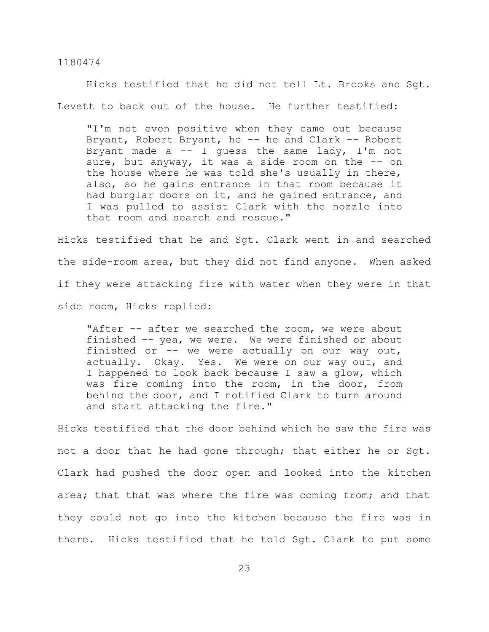Hicks testified that he did not tell Lt. Brooks and Sgt. Levett to back out of the house. He further testified:

"I'm not even positive when they came out because Bryant, Robert Bryant, he -- he and Clark -- Robert Bryant made a  $-$  I guess the same lady, I'm not sure, but anyway, it was a side room on the -- on the house where he was told she's usually in there, also, so he gains entrance in that room because it had burglar doors on it, and he gained entrance, and I was pulled to assist Clark with the nozzle into that room and search and rescue."

Hicks testified that he and Sgt. Clark went in and searched the side-room area, but they did not find anyone. When asked if they were attacking fire with water when they were in that side room, Hicks replied:

"After -- after we searched the room, we were about finished -- yea, we were. We were finished or about finished or  $--$  we were actually on our way out, actually. Okay. Yes. We were on our way out, and I happened to look back because I saw a glow, which was fire coming into the room, in the door, from behind the door, and I notified Clark to turn around and start attacking the fire."

Hicks testified that the door behind which he saw the fire was not a door that he had gone through; that either he or Sgt. Clark had pushed the door open and looked into the kitchen area; that that was where the fire was coming from; and that they could not go into the kitchen because the fire was in there. Hicks testified that he told Sgt. Clark to put some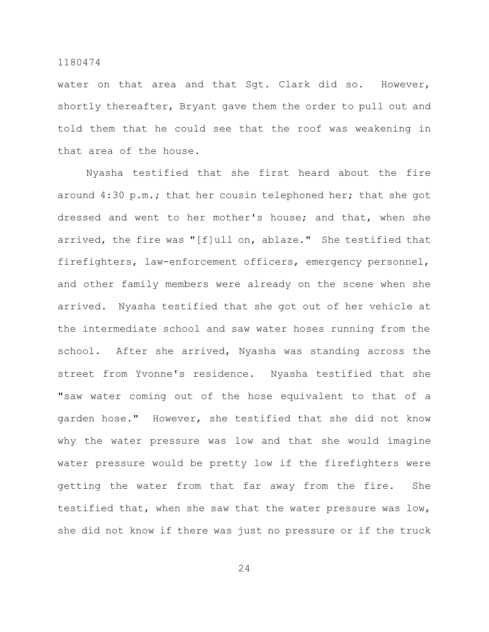water on that area and that Sgt. Clark did so. However, shortly thereafter, Bryant gave them the order to pull out and told them that he could see that the roof was weakening in that area of the house.

Nyasha testified that she first heard about the fire around 4:30 p.m.; that her cousin telephoned her; that she got dressed and went to her mother's house; and that, when she arrived, the fire was "[f]ull on, ablaze." She testified that firefighters, law-enforcement officers, emergency personnel, and other family members were already on the scene when she arrived. Nyasha testified that she got out of her vehicle at the intermediate school and saw water hoses running from the school. After she arrived, Nyasha was standing across the street from Yvonne's residence. Nyasha testified that she "saw water coming out of the hose equivalent to that of a garden hose." However, she testified that she did not know why the water pressure was low and that she would imagine water pressure would be pretty low if the firefighters were getting the water from that far away from the fire. She testified that, when she saw that the water pressure was low, she did not know if there was just no pressure or if the truck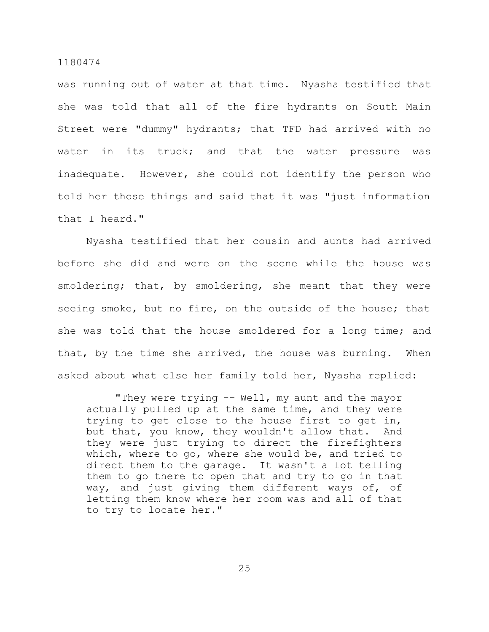was running out of water at that time. Nyasha testified that she was told that all of the fire hydrants on South Main Street were "dummy" hydrants; that TFD had arrived with no water in its truck; and that the water pressure was inadequate. However, she could not identify the person who told her those things and said that it was "just information that I heard."

Nyasha testified that her cousin and aunts had arrived before she did and were on the scene while the house was smoldering; that, by smoldering, she meant that they were seeing smoke, but no fire, on the outside of the house; that she was told that the house smoldered for a long time; and that, by the time she arrived, the house was burning. When asked about what else her family told her, Nyasha replied:

"They were trying -- Well, my aunt and the mayor actually pulled up at the same time, and they were trying to get close to the house first to get in, but that, you know, they wouldn't allow that. And they were just trying to direct the firefighters which, where to go, where she would be, and tried to direct them to the garage. It wasn't a lot telling them to go there to open that and try to go in that way, and just giving them different ways of, of letting them know where her room was and all of that to try to locate her."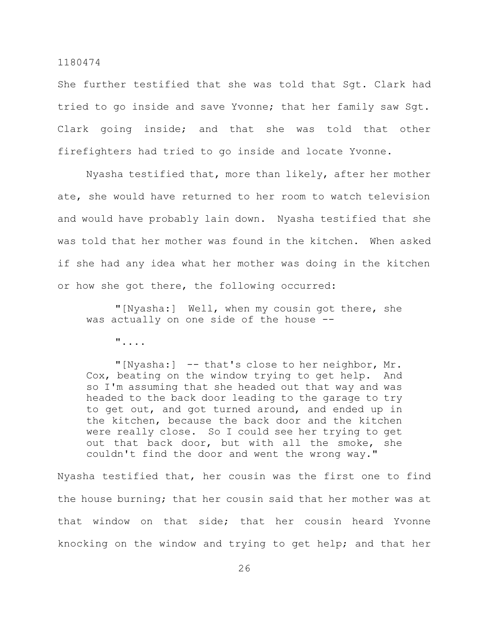She further testified that she was told that Sgt. Clark had tried to go inside and save Yvonne; that her family saw Sgt. Clark going inside; and that she was told that other firefighters had tried to go inside and locate Yvonne.

Nyasha testified that, more than likely, after her mother ate, she would have returned to her room to watch television and would have probably lain down. Nyasha testified that she was told that her mother was found in the kitchen. When asked if she had any idea what her mother was doing in the kitchen or how she got there, the following occurred:

"[Nyasha:] Well, when my cousin got there, she was actually on one side of the house --

"....

"[Nyasha:] -- that's close to her neighbor, Mr. Cox, beating on the window trying to get help. And so I'm assuming that she headed out that way and was headed to the back door leading to the garage to try to get out, and got turned around, and ended up in the kitchen, because the back door and the kitchen were really close. So I could see her trying to get out that back door, but with all the smoke, she couldn't find the door and went the wrong way."

Nyasha testified that, her cousin was the first one to find the house burning; that her cousin said that her mother was at that window on that side; that her cousin heard Yvonne knocking on the window and trying to get help; and that her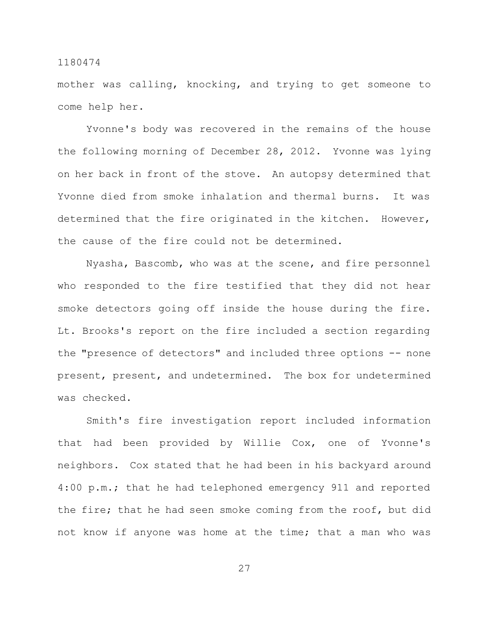mother was calling, knocking, and trying to get someone to come help her.

Yvonne's body was recovered in the remains of the house the following morning of December 28, 2012. Yvonne was lying on her back in front of the stove. An autopsy determined that Yvonne died from smoke inhalation and thermal burns. It was determined that the fire originated in the kitchen. However, the cause of the fire could not be determined.

Nyasha, Bascomb, who was at the scene, and fire personnel who responded to the fire testified that they did not hear smoke detectors going off inside the house during the fire. Lt. Brooks's report on the fire included a section regarding the "presence of detectors" and included three options -- none present, present, and undetermined. The box for undetermined was checked.

Smith's fire investigation report included information that had been provided by Willie Cox, one of Yvonne's neighbors. Cox stated that he had been in his backyard around 4:00 p.m.; that he had telephoned emergency 911 and reported the fire; that he had seen smoke coming from the roof, but did not know if anyone was home at the time; that a man who was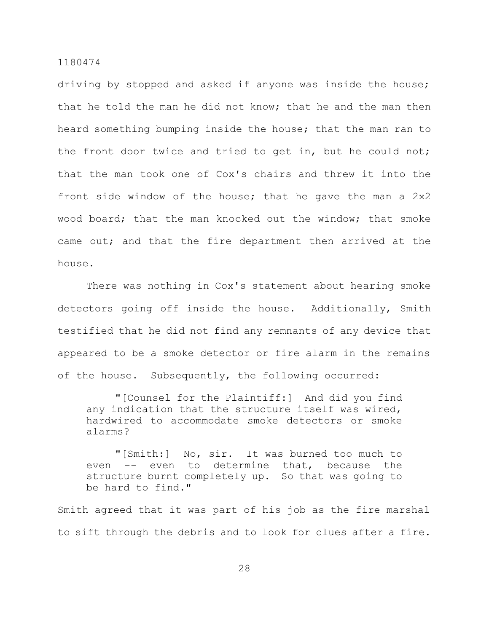driving by stopped and asked if anyone was inside the house; that he told the man he did not know; that he and the man then heard something bumping inside the house; that the man ran to the front door twice and tried to get in, but he could not; that the man took one of Cox's chairs and threw it into the front side window of the house; that he gave the man a 2x2 wood board; that the man knocked out the window; that smoke came out; and that the fire department then arrived at the house.

There was nothing in Cox's statement about hearing smoke detectors going off inside the house. Additionally, Smith testified that he did not find any remnants of any device that appeared to be a smoke detector or fire alarm in the remains of the house. Subsequently, the following occurred:

"[Counsel for the Plaintiff:] And did you find any indication that the structure itself was wired, hardwired to accommodate smoke detectors or smoke alarms?

"[Smith:] No, sir. It was burned too much to even -- even to determine that, because the structure burnt completely up. So that was going to be hard to find."

Smith agreed that it was part of his job as the fire marshal to sift through the debris and to look for clues after a fire.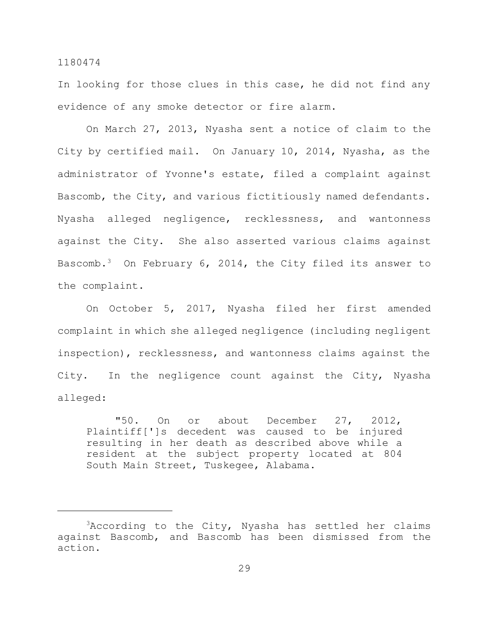In looking for those clues in this case, he did not find any evidence of any smoke detector or fire alarm.

On March 27, 2013, Nyasha sent a notice of claim to the City by certified mail. On January 10, 2014, Nyasha, as the administrator of Yvonne's estate, filed a complaint against Bascomb, the City, and various fictitiously named defendants. Nyasha alleged negligence, recklessness, and wantonness against the City. She also asserted various claims against Bascomb.<sup>3</sup> On February 6, 2014, the City filed its answer to the complaint.

On October 5, 2017, Nyasha filed her first amended complaint in which she alleged negligence (including negligent inspection), recklessness, and wantonness claims against the City. In the negligence count against the City, Nyasha alleged:

"50. On or about December 27, 2012, Plaintiff[']s decedent was caused to be injured resulting in her death as described above while a resident at the subject property located at 804 South Main Street, Tuskegee, Alabama.

<sup>&</sup>lt;sup>3</sup>According to the City, Nyasha has settled her claims against Bascomb, and Bascomb has been dismissed from the action.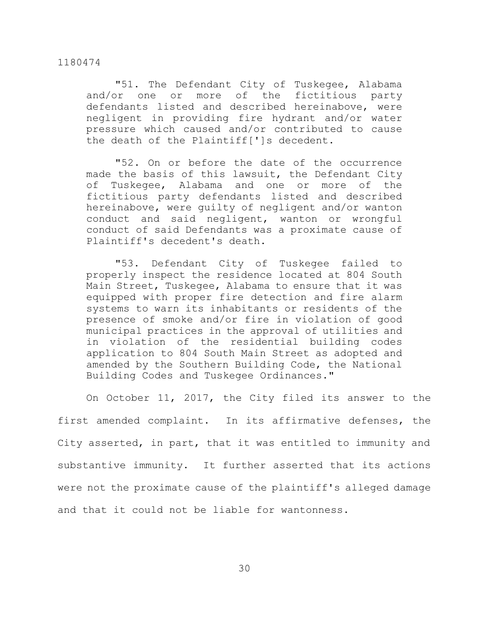"51. The Defendant City of Tuskegee, Alabama and/or one or more of the fictitious party defendants listed and described hereinabove, were negligent in providing fire hydrant and/or water pressure which caused and/or contributed to cause the death of the Plaintiff[']s decedent.

"52. On or before the date of the occurrence made the basis of this lawsuit, the Defendant City of Tuskegee, Alabama and one or more of the fictitious party defendants listed and described hereinabove, were guilty of negligent and/or wanton conduct and said negligent, wanton or wrongful conduct of said Defendants was a proximate cause of Plaintiff's decedent's death.

"53. Defendant City of Tuskegee failed to properly inspect the residence located at 804 South Main Street, Tuskegee, Alabama to ensure that it was equipped with proper fire detection and fire alarm systems to warn its inhabitants or residents of the presence of smoke and/or fire in violation of good municipal practices in the approval of utilities and in violation of the residential building codes application to 804 South Main Street as adopted and amended by the Southern Building Code, the National Building Codes and Tuskegee Ordinances."

On October 11, 2017, the City filed its answer to the first amended complaint. In its affirmative defenses, the City asserted, in part, that it was entitled to immunity and substantive immunity. It further asserted that its actions were not the proximate cause of the plaintiff's alleged damage and that it could not be liable for wantonness.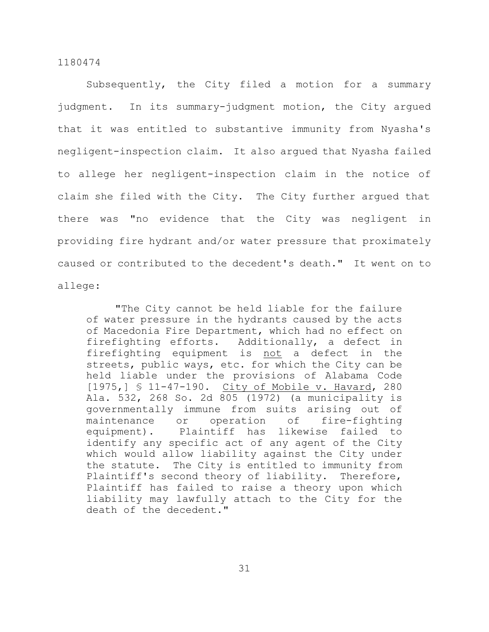Subsequently, the City filed a motion for a summary judgment. In its summary-judgment motion, the City argued that it was entitled to substantive immunity from Nyasha's negligent-inspection claim. It also argued that Nyasha failed to allege her negligent-inspection claim in the notice of claim she filed with the City. The City further argued that there was "no evidence that the City was negligent in providing fire hydrant and/or water pressure that proximately caused or contributed to the decedent's death." It went on to allege:

"The City cannot be held liable for the failure of water pressure in the hydrants caused by the acts of Macedonia Fire Department, which had no effect on firefighting efforts. Additionally, a defect in firefighting equipment is not a defect in the streets, public ways, etc. for which the City can be held liable under the provisions of Alabama Code [1975,] § 11-47-190. City of Mobile v. Havard, 280 Ala. 532, 268 So. 2d 805 (1972) (a municipality is governmentally immune from suits arising out of maintenance or operation of fire-fighting equipment). Plaintiff has likewise failed to identify any specific act of any agent of the City which would allow liability against the City under the statute. The City is entitled to immunity from Plaintiff's second theory of liability. Therefore, Plaintiff has failed to raise a theory upon which liability may lawfully attach to the City for the death of the decedent."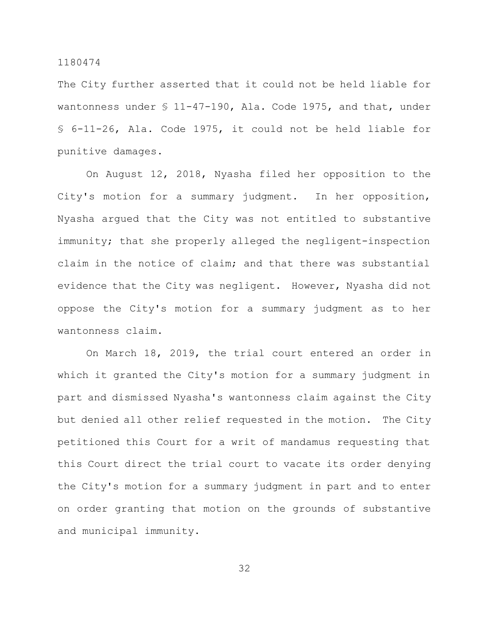The City further asserted that it could not be held liable for wantonness under § 11-47-190, Ala. Code 1975, and that, under § 6-11-26, Ala. Code 1975, it could not be held liable for punitive damages.

On August 12, 2018, Nyasha filed her opposition to the City's motion for a summary judgment. In her opposition, Nyasha argued that the City was not entitled to substantive immunity; that she properly alleged the negligent-inspection claim in the notice of claim; and that there was substantial evidence that the City was negligent. However, Nyasha did not oppose the City's motion for a summary judgment as to her wantonness claim.

On March 18, 2019, the trial court entered an order in which it granted the City's motion for a summary judgment in part and dismissed Nyasha's wantonness claim against the City but denied all other relief requested in the motion. The City petitioned this Court for a writ of mandamus requesting that this Court direct the trial court to vacate its order denying the City's motion for a summary judgment in part and to enter on order granting that motion on the grounds of substantive and municipal immunity.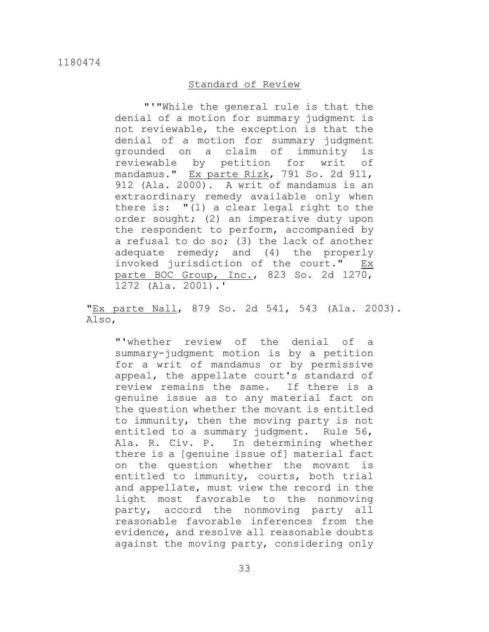### Standard of Review

"'"While the general rule is that the denial of a motion for summary judgment is not reviewable, the exception is that the denial of a motion for summary judgment grounded on a claim of immunity is reviewable by petition for writ of mandamus." Ex parte Rizk, 791 So. 2d 911, 912 (Ala. 2000). A writ of mandamus is an extraordinary remedy available only when there is: "(1) a clear legal right to the order sought; (2) an imperative duty upon the respondent to perform, accompanied by a refusal to do so; (3) the lack of another adequate remedy; and (4) the properly invoked jurisdiction of the court." Ex parte BOC Group, Inc., 823 So. 2d 1270, 1272 (Ala. 2001).'

"Ex parte Nall, 879 So. 2d 541, 543 (Ala. 2003). Also,

"'whether review of the denial of a summary-judgment motion is by a petition for a writ of mandamus or by permissive appeal, the appellate court's standard of review remains the same. If there is a genuine issue as to any material fact on the question whether the movant is entitled to immunity, then the moving party is not entitled to a summary judgment. Rule 56, Ala. R. Civ. P. In determining whether there is a [genuine issue of] material fact on the question whether the movant is entitled to immunity, courts, both trial and appellate, must view the record in the light most favorable to the nonmoving party, accord the nonmoving party all reasonable favorable inferences from the evidence, and resolve all reasonable doubts against the moving party, considering only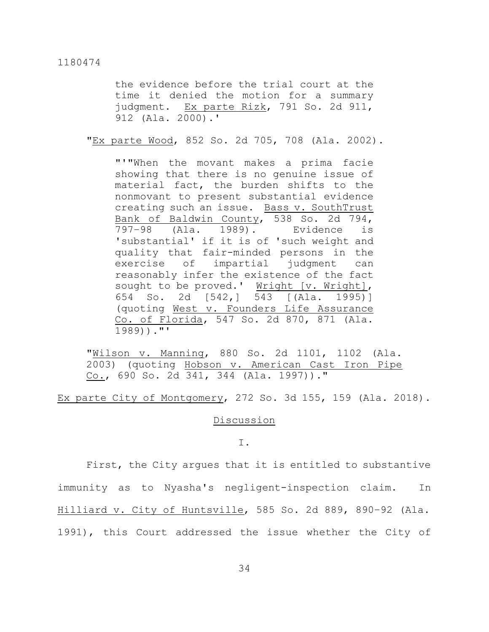the evidence before the trial court at the time it denied the motion for a summary judgment. Ex parte Rizk, 791 So. 2d 911, 912 (Ala. 2000).'

"Ex parte Wood, 852 So. 2d 705, 708 (Ala. 2002).

"'"When the movant makes a prima facie showing that there is no genuine issue of material fact, the burden shifts to the nonmovant to present substantial evidence creating such an issue. Bass v. SouthTrust Bank of Baldwin County, 538 So. 2d 794, 797–98 (Ala. 1989). Evidence is 'substantial' if it is of 'such weight and quality that fair-minded persons in the exercise of impartial judgment can reasonably infer the existence of the fact sought to be proved.' Wright [v. Wright], 654 So. 2d [542,] 543 [(Ala. 1995)] (quoting West v. Founders Life Assurance Co. of Florida, 547 So. 2d 870, 871 (Ala. 1989))."'

"Wilson v. Manning, 880 So. 2d 1101, 1102 (Ala. 2003) (quoting Hobson v. American Cast Iron Pipe  $Co.$ , 690 So. 2d 341, 344 (Ala. 1997))."

Ex parte City of Montgomery, 272 So. 3d 155, 159 (Ala. 2018).

#### **Discussion**

#### I.

First, the City argues that it is entitled to substantive immunity as to Nyasha's negligent-inspection claim. In Hilliard v. City of Huntsville, 585 So. 2d 889, 890–92 (Ala. 1991), this Court addressed the issue whether the City of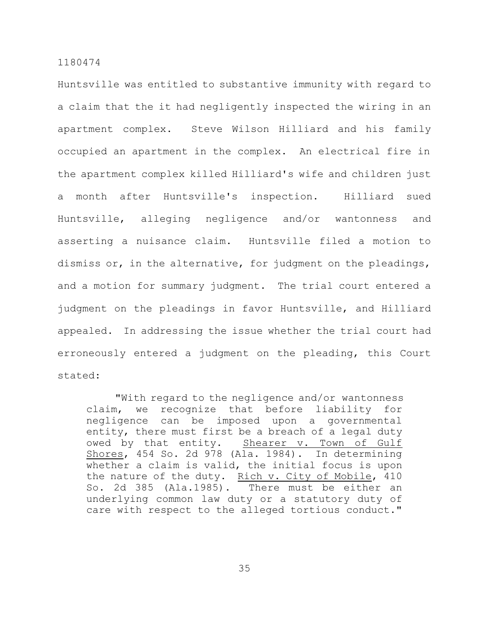Huntsville was entitled to substantive immunity with regard to a claim that the it had negligently inspected the wiring in an apartment complex. Steve Wilson Hilliard and his family occupied an apartment in the complex. An electrical fire in the apartment complex killed Hilliard's wife and children just a month after Huntsville's inspection. Hilliard sued Huntsville, alleging negligence and/or wantonness and asserting a nuisance claim. Huntsville filed a motion to dismiss or, in the alternative, for judgment on the pleadings, and a motion for summary judgment. The trial court entered a judgment on the pleadings in favor Huntsville, and Hilliard appealed. In addressing the issue whether the trial court had erroneously entered a judgment on the pleading, this Court stated:

"With regard to the negligence and/or wantonness claim, we recognize that before liability for negligence can be imposed upon a governmental entity, there must first be a breach of a legal duty owed by that entity. Shearer v. Town of Gulf Shores, 454 So. 2d 978 (Ala. 1984). In determining whether a claim is valid, the initial focus is upon the nature of the duty. Rich v. City of Mobile, 410 So. 2d 385 (Ala.1985). There must be either an underlying common law duty or a statutory duty of care with respect to the alleged tortious conduct."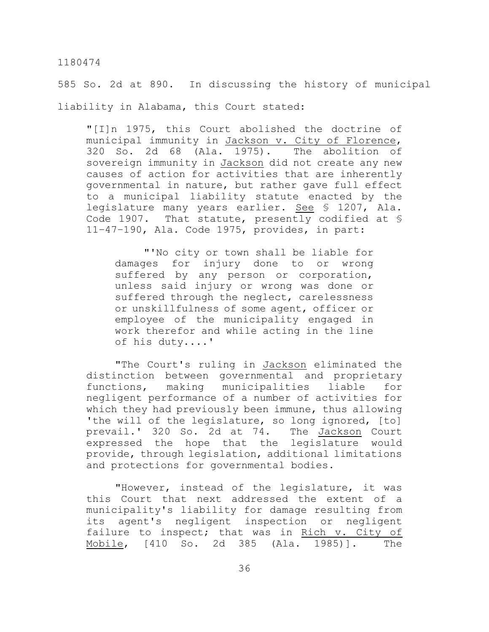585 So. 2d at 890. In discussing the history of municipal liability in Alabama, this Court stated:

"[I]n 1975, this Court abolished the doctrine of municipal immunity in Jackson v. City of Florence, 320 So. 2d 68 (Ala. 1975). The abolition of sovereign immunity in Jackson did not create any new causes of action for activities that are inherently governmental in nature, but rather gave full effect to a municipal liability statute enacted by the legislature many years earlier. See § 1207, Ala. Code 1907. That statute, presently codified at § 11–47–190, Ala. Code 1975, provides, in part:

"'No city or town shall be liable for damages for injury done to or wrong suffered by any person or corporation, unless said injury or wrong was done or suffered through the neglect, carelessness or unskillfulness of some agent, officer or employee of the municipality engaged in work therefor and while acting in the line of his duty....'

"The Court's ruling in Jackson eliminated the distinction between governmental and proprietary functions, making municipalities liable for negligent performance of a number of activities for which they had previously been immune, thus allowing 'the will of the legislature, so long ignored, [to] prevail.' 320 So. 2d at 74. The Jackson Court expressed the hope that the legislature would provide, through legislation, additional limitations and protections for governmental bodies.

"However, instead of the legislature, it was this Court that next addressed the extent of a municipality's liability for damage resulting from its agent's negligent inspection or negligent failure to inspect; that was in Rich v. City of Mobile, [410 So. 2d 385 (Ala. 1985)]. The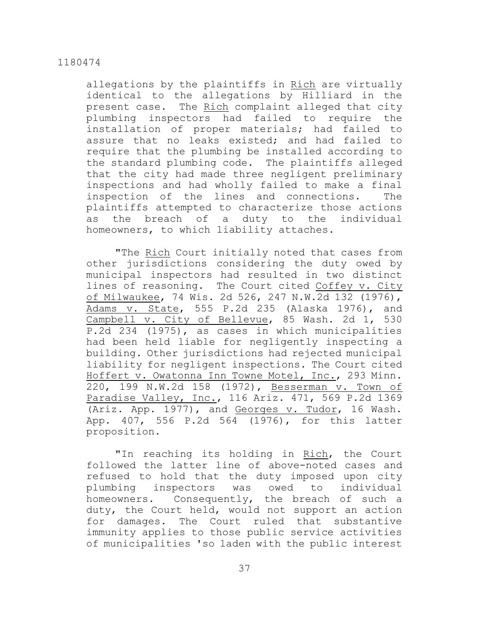allegations by the plaintiffs in Rich are virtually identical to the allegations by Hilliard in the present case. The Rich complaint alleged that city plumbing inspectors had failed to require the installation of proper materials; had failed to assure that no leaks existed; and had failed to require that the plumbing be installed according to the standard plumbing code. The plaintiffs alleged that the city had made three negligent preliminary inspections and had wholly failed to make a final inspection of the lines and connections. The plaintiffs attempted to characterize those actions as the breach of a duty to the individual homeowners, to which liability attaches.

"The Rich Court initially noted that cases from other jurisdictions considering the duty owed by municipal inspectors had resulted in two distinct lines of reasoning. The Court cited Coffey v. City of Milwaukee, 74 Wis. 2d 526, 247 N.W.2d 132 (1976), Adams v. State, 555 P.2d 235 (Alaska 1976), and Campbell v. City of Bellevue, 85 Wash. 2d 1, 530 P.2d 234 (1975), as cases in which municipalities had been held liable for negligently inspecting a building. Other jurisdictions had rejected municipal liability for negligent inspections. The Court cited Hoffert v. Owatonna Inn Towne Motel, Inc., 293 Minn. 220, 199 N.W.2d 158 (1972), Besserman v. Town of Paradise Valley, Inc., 116 Ariz. 471, 569 P.2d 1369 (Ariz. App. 1977), and Georges v. Tudor, 16 Wash. App. 407, 556 P.2d 564 (1976), for this latter proposition.

"In reaching its holding in Rich, the Court followed the latter line of above-noted cases and refused to hold that the duty imposed upon city plumbing inspectors was owed to individual homeowners. Consequently, the breach of such a duty, the Court held, would not support an action for damages. The Court ruled that substantive immunity applies to those public service activities of municipalities 'so laden with the public interest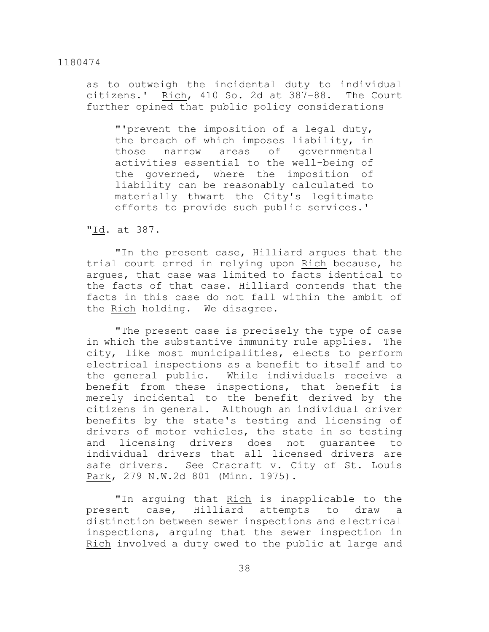as to outweigh the incidental duty to individual citizens.' Rich, 410 So. 2d at 387–88. The Court further opined that public policy considerations

"'prevent the imposition of a legal duty, the breach of which imposes liability, in those narrow areas of governmental activities essential to the well-being of the governed, where the imposition of liability can be reasonably calculated to materially thwart the City's legitimate efforts to provide such public services.'

"Id. at 387.

"In the present case, Hilliard argues that the trial court erred in relying upon Rich because, he argues, that case was limited to facts identical to the facts of that case. Hilliard contends that the facts in this case do not fall within the ambit of the Rich holding. We disagree.

"The present case is precisely the type of case in which the substantive immunity rule applies. The city, like most municipalities, elects to perform electrical inspections as a benefit to itself and to the general public. While individuals receive a benefit from these inspections, that benefit is merely incidental to the benefit derived by the citizens in general. Although an individual driver benefits by the state's testing and licensing of drivers of motor vehicles, the state in so testing and licensing drivers does not guarantee to individual drivers that all licensed drivers are safe drivers. See Cracraft v. City of St. Louis Park, 279 N.W.2d 801 (Minn. 1975).

"In arguing that Rich is inapplicable to the present case, Hilliard attempts to draw a distinction between sewer inspections and electrical inspections, arguing that the sewer inspection in Rich involved a duty owed to the public at large and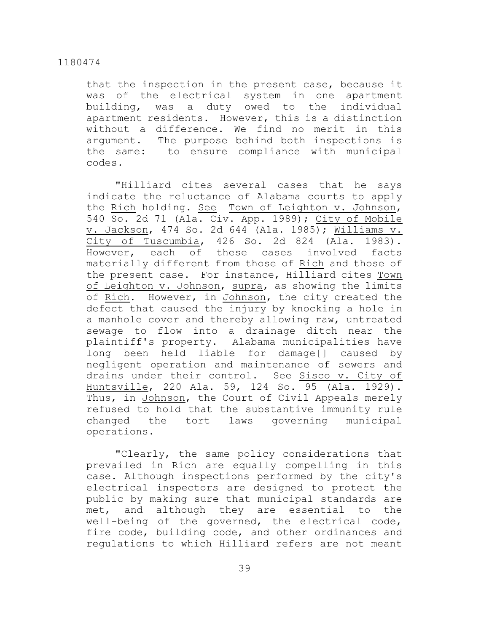that the inspection in the present case, because it was of the electrical system in one apartment building, was a duty owed to the individual apartment residents. However, this is a distinction without a difference. We find no merit in this argument. The purpose behind both inspections is the same: to ensure compliance with municipal codes.

"Hilliard cites several cases that he says indicate the reluctance of Alabama courts to apply the Rich holding. See Town of Leighton v. Johnson, 540 So. 2d 71 (Ala. Civ. App. 1989); City of Mobile v. Jackson, 474 So. 2d 644 (Ala. 1985); Williams v. City of Tuscumbia, 426 So. 2d 824 (Ala. 1983). However, each of these cases involved facts materially different from those of Rich and those of the present case. For instance, Hilliard cites Town of Leighton v. Johnson, supra, as showing the limits of Rich. However, in Johnson, the city created the defect that caused the injury by knocking a hole in a manhole cover and thereby allowing raw, untreated sewage to flow into a drainage ditch near the plaintiff's property. Alabama municipalities have long been held liable for damage[] caused by negligent operation and maintenance of sewers and drains under their control. See Sisco v. City of Huntsville, 220 Ala. 59, 124 So. 95 (Ala. 1929). Thus, in Johnson, the Court of Civil Appeals merely refused to hold that the substantive immunity rule changed the tort laws governing municipal operations.

"Clearly, the same policy considerations that prevailed in Rich are equally compelling in this case. Although inspections performed by the city's electrical inspectors are designed to protect the public by making sure that municipal standards are met, and although they are essential to the well-being of the governed, the electrical code, fire code, building code, and other ordinances and regulations to which Hilliard refers are not meant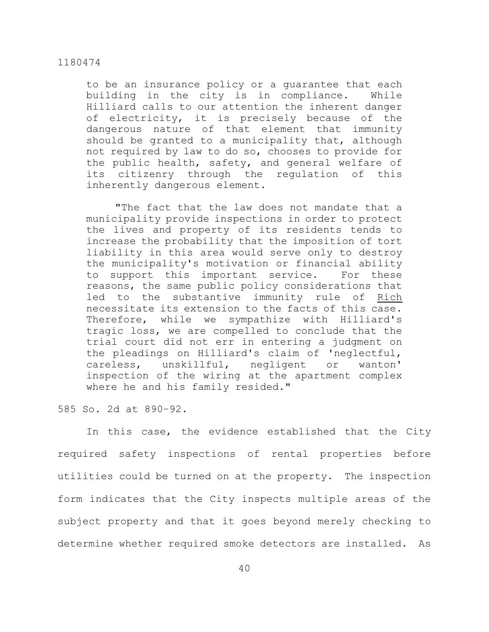to be an insurance policy or a guarantee that each building in the city is in compliance. While Hilliard calls to our attention the inherent danger of electricity, it is precisely because of the dangerous nature of that element that immunity should be granted to a municipality that, although not required by law to do so, chooses to provide for the public health, safety, and general welfare of its citizenry through the regulation of this inherently dangerous element.

"The fact that the law does not mandate that a municipality provide inspections in order to protect the lives and property of its residents tends to increase the probability that the imposition of tort liability in this area would serve only to destroy the municipality's motivation or financial ability to support this important service. For these reasons, the same public policy considerations that led to the substantive immunity rule of Rich necessitate its extension to the facts of this case. Therefore, while we sympathize with Hilliard's tragic loss, we are compelled to conclude that the trial court did not err in entering a judgment on the pleadings on Hilliard's claim of 'neglectful, careless, unskillful, negligent or wanton' inspection of the wiring at the apartment complex where he and his family resided."

585 So. 2d at 890–92.

In this case, the evidence established that the City required safety inspections of rental properties before utilities could be turned on at the property. The inspection form indicates that the City inspects multiple areas of the subject property and that it goes beyond merely checking to determine whether required smoke detectors are installed. As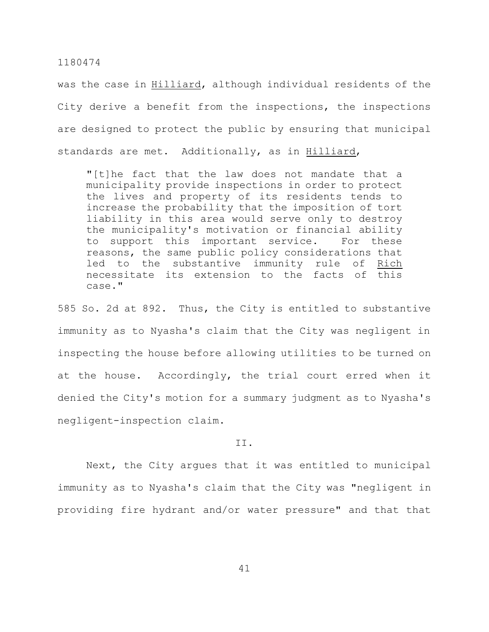was the case in Hilliard, although individual residents of the City derive a benefit from the inspections, the inspections are designed to protect the public by ensuring that municipal standards are met. Additionally, as in Hilliard,

"[t]he fact that the law does not mandate that a municipality provide inspections in order to protect the lives and property of its residents tends to increase the probability that the imposition of tort liability in this area would serve only to destroy the municipality's motivation or financial ability to support this important service. For these reasons, the same public policy considerations that led to the substantive immunity rule of Rich necessitate its extension to the facts of this case."

585 So. 2d at 892. Thus, the City is entitled to substantive immunity as to Nyasha's claim that the City was negligent in inspecting the house before allowing utilities to be turned on at the house. Accordingly, the trial court erred when it denied the City's motion for a summary judgment as to Nyasha's negligent-inspection claim.

#### II.

Next, the City argues that it was entitled to municipal immunity as to Nyasha's claim that the City was "negligent in providing fire hydrant and/or water pressure" and that that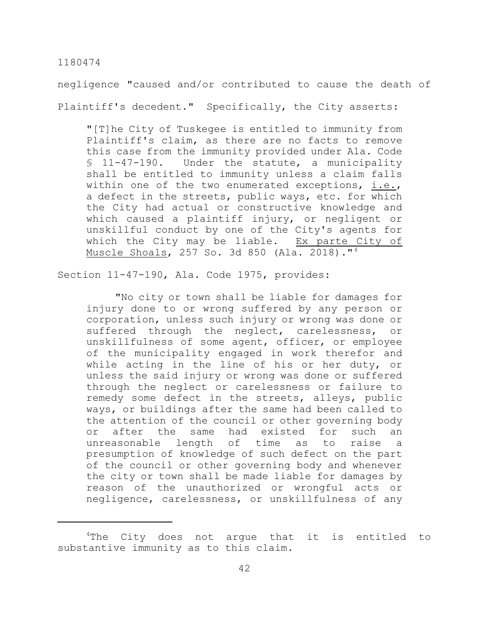negligence "caused and/or contributed to cause the death of Plaintiff's decedent." Specifically, the City asserts:

"[T]he City of Tuskegee is entitled to immunity from Plaintiff's claim, as there are no facts to remove this case from the immunity provided under Ala. Code § 11-47-190. Under the statute, a municipality shall be entitled to immunity unless a claim falls within one of the two enumerated exceptions, i.e., a defect in the streets, public ways, etc. for which the City had actual or constructive knowledge and which caused a plaintiff injury, or negligent or unskillful conduct by one of the City's agents for which the City may be liable. Ex parte City of Muscle Shoals, 257 So. 3d 850 (Ala. 2018)."<sup>4</sup>

Section 11-47-190, Ala. Code 1975, provides:

"No city or town shall be liable for damages for injury done to or wrong suffered by any person or corporation, unless such injury or wrong was done or suffered through the neglect, carelessness, or unskillfulness of some agent, officer, or employee of the municipality engaged in work therefor and while acting in the line of his or her duty, or unless the said injury or wrong was done or suffered through the neglect or carelessness or failure to remedy some defect in the streets, alleys, public ways, or buildings after the same had been called to the attention of the council or other governing body or after the same had existed for such an unreasonable length of time as to raise a presumption of knowledge of such defect on the part of the council or other governing body and whenever the city or town shall be made liable for damages by reason of the unauthorized or wrongful acts or negligence, carelessness, or unskillfulness of any

<sup>&</sup>lt;sup>4</sup>The City does not arque that it is entitled to substantive immunity as to this claim.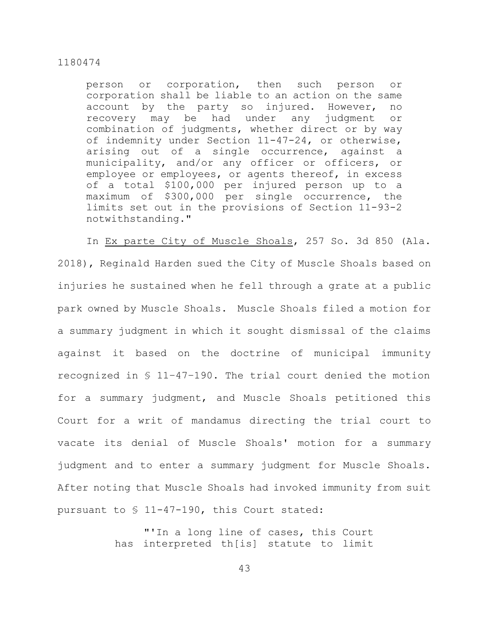person or corporation, then such person or corporation shall be liable to an action on the same account by the party so injured. However, no recovery may be had under any judgment or combination of judgments, whether direct or by way of indemnity under Section 11-47-24, or otherwise, arising out of a single occurrence, against a municipality, and/or any officer or officers, or employee or employees, or agents thereof, in excess of a total \$100,000 per injured person up to a maximum of \$300,000 per single occurrence, the limits set out in the provisions of Section 11-93-2 notwithstanding."

In Ex parte City of Muscle Shoals, 257 So. 3d 850 (Ala. 2018), Reginald Harden sued the City of Muscle Shoals based on injuries he sustained when he fell through a grate at a public park owned by Muscle Shoals. Muscle Shoals filed a motion for a summary judgment in which it sought dismissal of the claims against it based on the doctrine of municipal immunity recognized in § 11–47–190. The trial court denied the motion for a summary judgment, and Muscle Shoals petitioned this Court for a writ of mandamus directing the trial court to vacate its denial of Muscle Shoals' motion for a summary judgment and to enter a summary judgment for Muscle Shoals. After noting that Muscle Shoals had invoked immunity from suit pursuant to § 11-47-190, this Court stated:

> "'In a long line of cases, this Court has interpreted th[is] statute to limit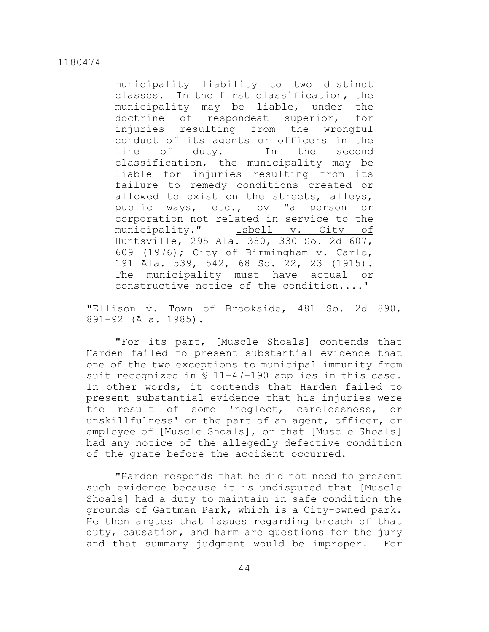municipality liability to two distinct classes. In the first classification, the municipality may be liable, under the doctrine of respondeat superior, for injuries resulting from the wrongful conduct of its agents or officers in the line of duty. In the second classification, the municipality may be liable for injuries resulting from its failure to remedy conditions created or allowed to exist on the streets, alleys, public ways, etc., by "a person or corporation not related in service to the municipality." Isbell v. City of Huntsville, 295 Ala. 380, 330 So. 2d 607, 609 (1976); City of Birmingham v. Carle, 191 Ala. 539, 542, 68 So. 22, 23 (1915). The municipality must have actual or constructive notice of the condition....'

"Ellison v. Town of Brookside, 481 So. 2d 890, 891–92 (Ala. 1985).

"For its part, [Muscle Shoals] contends that Harden failed to present substantial evidence that one of the two exceptions to municipal immunity from suit recognized in § 11–47–190 applies in this case. In other words, it contends that Harden failed to present substantial evidence that his injuries were the result of some 'neglect, carelessness, or unskillfulness' on the part of an agent, officer, or employee of [Muscle Shoals], or that [Muscle Shoals] had any notice of the allegedly defective condition of the grate before the accident occurred.

"Harden responds that he did not need to present such evidence because it is undisputed that [Muscle Shoals] had a duty to maintain in safe condition the grounds of Gattman Park, which is a City-owned park. He then argues that issues regarding breach of that duty, causation, and harm are questions for the jury and that summary judgment would be improper. For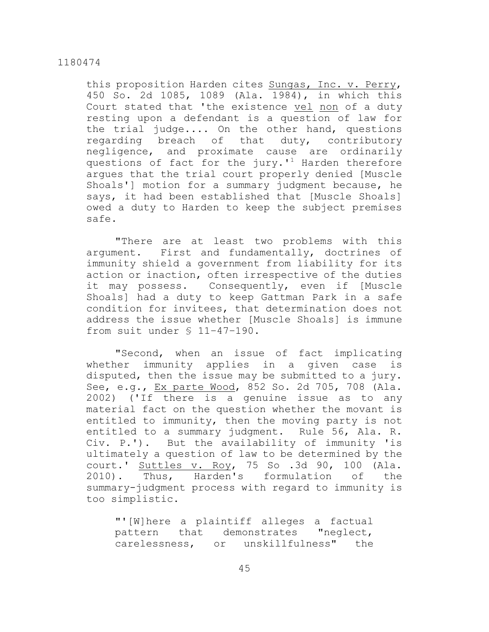this proposition Harden cites Sungas, Inc. v. Perry, 450 So. 2d 1085, 1089 (Ala. 1984), in which this Court stated that 'the existence vel non of a duty resting upon a defendant is a question of law for the trial judge.... On the other hand, questions regarding breach of that duty, contributory negligence, and proximate cause are ordinarily questions of fact for the  $jury.$ <sup>1</sup> Harden therefore argues that the trial court properly denied [Muscle Shoals'] motion for a summary judgment because, he says, it had been established that [Muscle Shoals] owed a duty to Harden to keep the subject premises safe.

"There are at least two problems with this argument. First and fundamentally, doctrines of immunity shield a government from liability for its action or inaction, often irrespective of the duties it may possess. Consequently, even if [Muscle Shoals] had a duty to keep Gattman Park in a safe condition for invitees, that determination does not address the issue whether [Muscle Shoals] is immune from suit under § 11–47–190.

"Second, when an issue of fact implicating whether immunity applies in a given case is disputed, then the issue may be submitted to a jury. See, e.g., Ex parte Wood, 852 So. 2d 705, 708 (Ala. 2002) ('If there is a genuine issue as to any material fact on the question whether the movant is entitled to immunity, then the moving party is not entitled to a summary judgment. Rule 56, Ala. R. Civ. P.'). But the availability of immunity 'is ultimately a question of law to be determined by the court.' Suttles v. Roy, 75 So .3d 90, 100 (Ala. 2010). Thus, Harden's formulation of the summary-judgment process with regard to immunity is too simplistic.

"'[W]here a plaintiff alleges a factual pattern that demonstrates "neglect, carelessness, or unskillfulness" the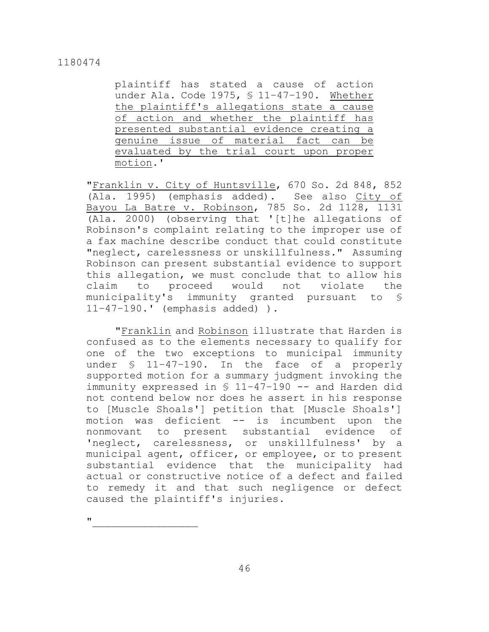plaintiff has stated a cause of action under Ala. Code 1975, § 11–47–190. Whether the plaintiff's allegations state a cause of action and whether the plaintiff has presented substantial evidence creating a genuine issue of material fact can be evaluated by the trial court upon proper motion.'

"Franklin v. City of Huntsville, 670 So. 2d 848, 852 (Ala. 1995) (emphasis added). See also City of Bayou La Batre v. Robinson, 785 So. 2d 1128, 1131 (Ala. 2000) (observing that '[t]he allegations of Robinson's complaint relating to the improper use of a fax machine describe conduct that could constitute "neglect, carelessness or unskillfulness." Assuming Robinson can present substantial evidence to support this allegation, we must conclude that to allow his claim to proceed would not violate the municipality's immunity granted pursuant to § 11–47–190.' (emphasis added) ).

"Franklin and Robinson illustrate that Harden is confused as to the elements necessary to qualify for one of the two exceptions to municipal immunity under § 11–47–190. In the face of a properly supported motion for a summary judgment invoking the immunity expressed in § 11-47-190 -- and Harden did not contend below nor does he assert in his response to [Muscle Shoals'] petition that [Muscle Shoals'] motion was deficient -- is incumbent upon the nonmovant to present substantial evidence of 'neglect, carelessness, or unskillfulness' by a municipal agent, officer, or employee, or to present substantial evidence that the municipality had actual or constructive notice of a defect and failed to remedy it and that such negligence or defect caused the plaintiff's injuries.

 $\mathbf{u}$  and  $\mathbf{v}$  and  $\mathbf{v}$  and  $\mathbf{v}$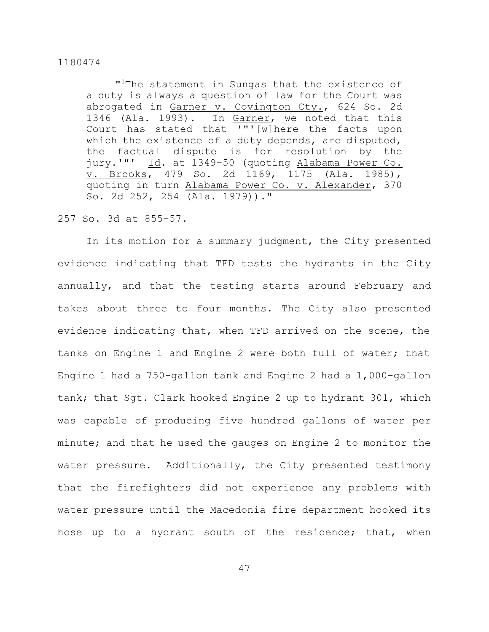"<sup>1</sup>The statement in **Sungas** that the existence of a duty is always a question of law for the Court was abrogated in Garner v. Covington Cty., 624 So. 2d 1346 (Ala. 1993). In Garner, we noted that this Court has stated that '"'[w]here the facts upon which the existence of a duty depends, are disputed, the factual dispute is for resolution by the jury.'"' Id. at 1349–50 (quoting Alabama Power Co. v. Brooks, 479 So. 2d 1169, 1175 (Ala. 1985), quoting in turn Alabama Power Co. v. Alexander, 370 So. 2d 252, 254 (Ala. 1979))."

#### 257 So. 3d at 855–57.

In its motion for a summary judgment, the City presented evidence indicating that TFD tests the hydrants in the City annually, and that the testing starts around February and takes about three to four months. The City also presented evidence indicating that, when TFD arrived on the scene, the tanks on Engine 1 and Engine 2 were both full of water; that Engine 1 had a 750-gallon tank and Engine 2 had a 1,000-gallon tank; that Sgt. Clark hooked Engine 2 up to hydrant 301, which was capable of producing five hundred gallons of water per minute; and that he used the gauges on Engine 2 to monitor the water pressure. Additionally, the City presented testimony that the firefighters did not experience any problems with water pressure until the Macedonia fire department hooked its hose up to a hydrant south of the residence; that, when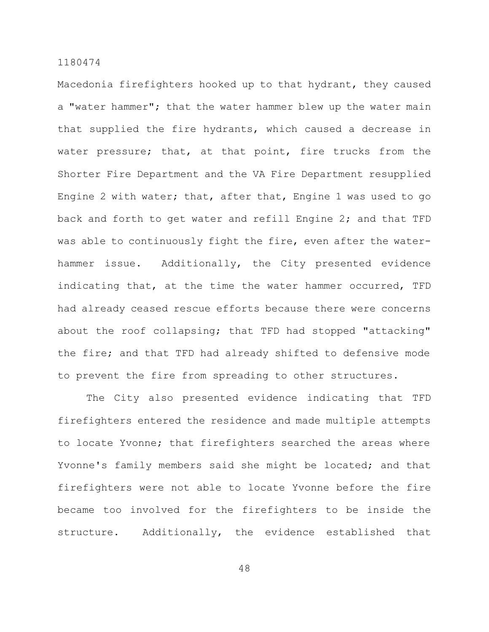Macedonia firefighters hooked up to that hydrant, they caused a "water hammer"; that the water hammer blew up the water main that supplied the fire hydrants, which caused a decrease in water pressure; that, at that point, fire trucks from the Shorter Fire Department and the VA Fire Department resupplied Engine 2 with water; that, after that, Engine 1 was used to go back and forth to get water and refill Engine 2; and that TFD was able to continuously fight the fire, even after the waterhammer issue. Additionally, the City presented evidence indicating that, at the time the water hammer occurred, TFD had already ceased rescue efforts because there were concerns about the roof collapsing; that TFD had stopped "attacking" the fire; and that TFD had already shifted to defensive mode to prevent the fire from spreading to other structures.

The City also presented evidence indicating that TFD firefighters entered the residence and made multiple attempts to locate Yvonne; that firefighters searched the areas where Yvonne's family members said she might be located; and that firefighters were not able to locate Yvonne before the fire became too involved for the firefighters to be inside the structure. Additionally, the evidence established that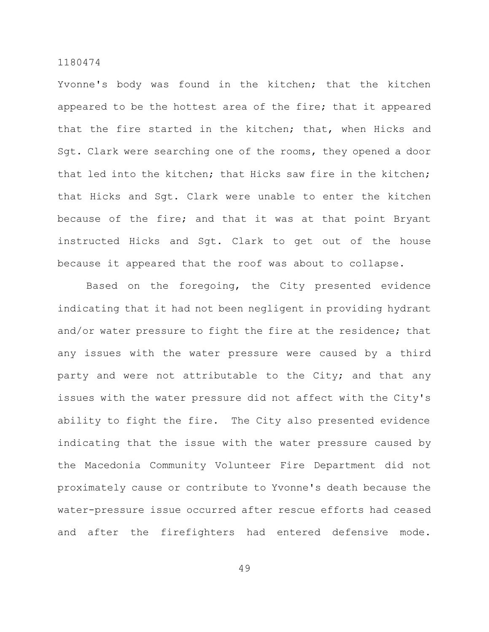Yvonne's body was found in the kitchen; that the kitchen appeared to be the hottest area of the fire; that it appeared that the fire started in the kitchen; that, when Hicks and Sgt. Clark were searching one of the rooms, they opened a door that led into the kitchen; that Hicks saw fire in the kitchen; that Hicks and Sgt. Clark were unable to enter the kitchen because of the fire; and that it was at that point Bryant instructed Hicks and Sgt. Clark to get out of the house because it appeared that the roof was about to collapse.

Based on the foregoing, the City presented evidence indicating that it had not been negligent in providing hydrant and/or water pressure to fight the fire at the residence; that any issues with the water pressure were caused by a third party and were not attributable to the City; and that any issues with the water pressure did not affect with the City's ability to fight the fire. The City also presented evidence indicating that the issue with the water pressure caused by the Macedonia Community Volunteer Fire Department did not proximately cause or contribute to Yvonne's death because the water-pressure issue occurred after rescue efforts had ceased and after the firefighters had entered defensive mode.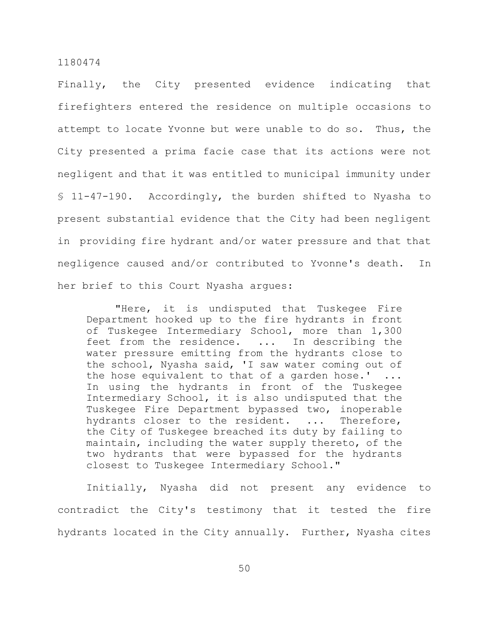Finally, the City presented evidence indicating that firefighters entered the residence on multiple occasions to attempt to locate Yvonne but were unable to do so. Thus, the City presented a prima facie case that its actions were not negligent and that it was entitled to municipal immunity under § 11-47-190. Accordingly, the burden shifted to Nyasha to present substantial evidence that the City had been negligent in providing fire hydrant and/or water pressure and that that negligence caused and/or contributed to Yvonne's death. In her brief to this Court Nyasha argues:

"Here, it is undisputed that Tuskegee Fire Department hooked up to the fire hydrants in front of Tuskegee Intermediary School, more than 1,300 feet from the residence. ... In describing the water pressure emitting from the hydrants close to the school, Nyasha said, 'I saw water coming out of the hose equivalent to that of a garden hose.'  $\ldots$ In using the hydrants in front of the Tuskegee Intermediary School, it is also undisputed that the Tuskegee Fire Department bypassed two, inoperable hydrants closer to the resident. ... Therefore, the City of Tuskegee breached its duty by failing to maintain, including the water supply thereto, of the two hydrants that were bypassed for the hydrants closest to Tuskegee Intermediary School."

Initially, Nyasha did not present any evidence to contradict the City's testimony that it tested the fire hydrants located in the City annually. Further, Nyasha cites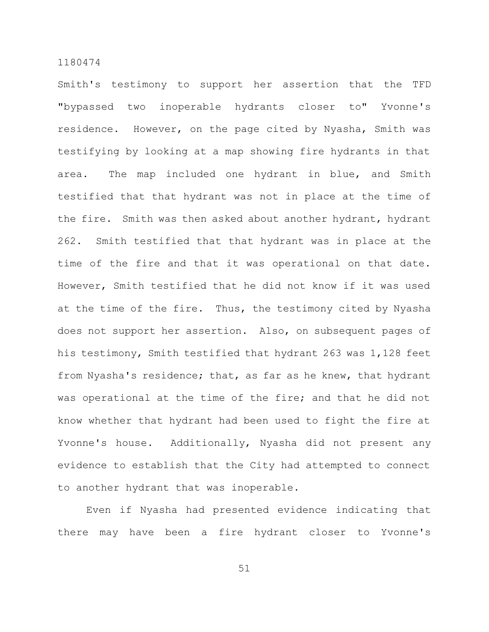Smith's testimony to support her assertion that the TFD "bypassed two inoperable hydrants closer to" Yvonne's residence. However, on the page cited by Nyasha, Smith was testifying by looking at a map showing fire hydrants in that area. The map included one hydrant in blue, and Smith testified that that hydrant was not in place at the time of the fire. Smith was then asked about another hydrant, hydrant 262. Smith testified that that hydrant was in place at the time of the fire and that it was operational on that date. However, Smith testified that he did not know if it was used at the time of the fire. Thus, the testimony cited by Nyasha does not support her assertion. Also, on subsequent pages of his testimony, Smith testified that hydrant 263 was 1,128 feet from Nyasha's residence; that, as far as he knew, that hydrant was operational at the time of the fire; and that he did not know whether that hydrant had been used to fight the fire at Yvonne's house. Additionally, Nyasha did not present any evidence to establish that the City had attempted to connect to another hydrant that was inoperable.

Even if Nyasha had presented evidence indicating that there may have been a fire hydrant closer to Yvonne's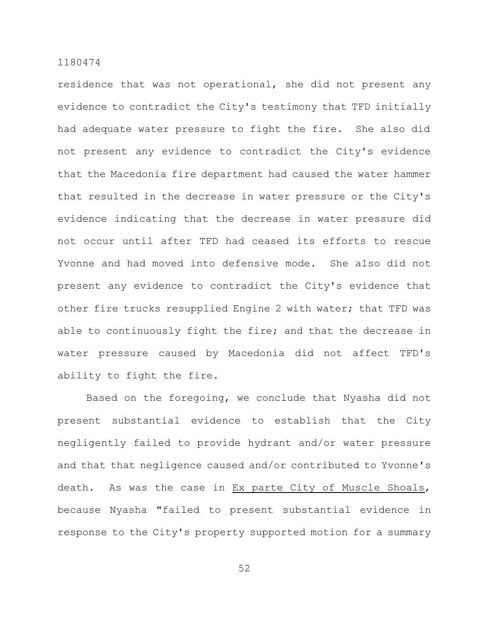residence that was not operational, she did not present any evidence to contradict the City's testimony that TFD initially had adequate water pressure to fight the fire. She also did not present any evidence to contradict the City's evidence that the Macedonia fire department had caused the water hammer that resulted in the decrease in water pressure or the City's evidence indicating that the decrease in water pressure did not occur until after TFD had ceased its efforts to rescue Yvonne and had moved into defensive mode. She also did not present any evidence to contradict the City's evidence that other fire trucks resupplied Engine 2 with water; that TFD was able to continuously fight the fire; and that the decrease in water pressure caused by Macedonia did not affect TFD's ability to fight the fire.

Based on the foregoing, we conclude that Nyasha did not present substantial evidence to establish that the City negligently failed to provide hydrant and/or water pressure and that that negligence caused and/or contributed to Yvonne's death. As was the case in Ex parte City of Muscle Shoals, because Nyasha "failed to present substantial evidence in response to the City's property supported motion for a summary